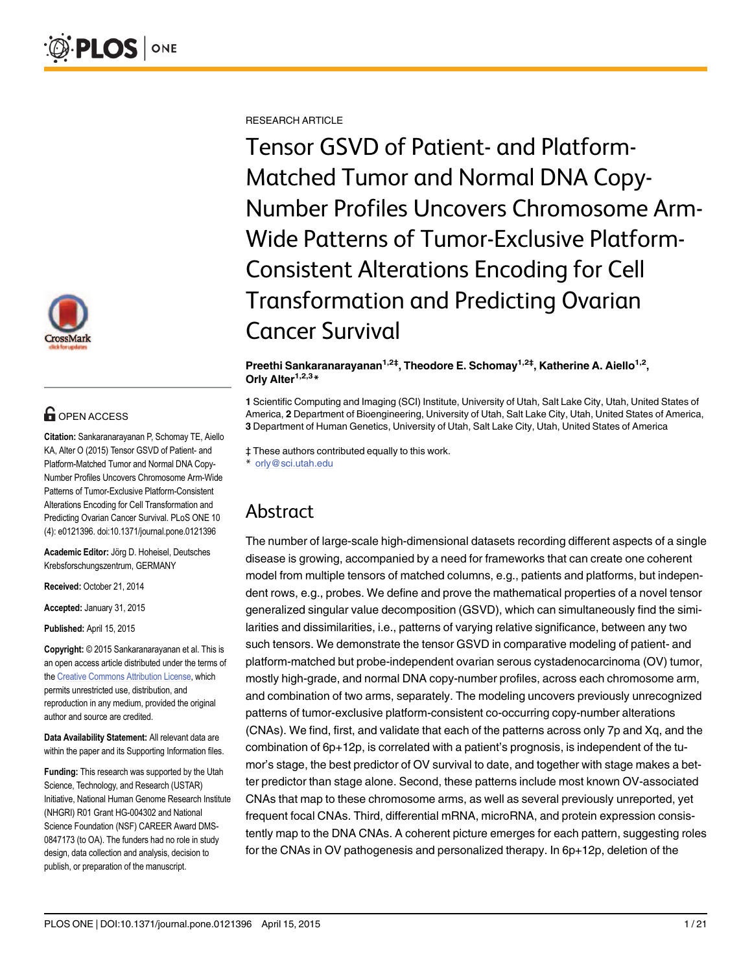

# **G** OPEN ACCESS

Citation: Sankaranarayanan P, Schomay TE, Aiello KA, Alter O (2015) Tensor GSVD of Patient- and Platform-Matched Tumor and Normal DNA Copy-Number Profiles Uncovers Chromosome Arm-Wide Patterns of Tumor-Exclusive Platform-Consistent Alterations Encoding for Cell Transformation and Predicting Ovarian Cancer Survival. PLoS ONE 10 (4): e0121396. doi:10.1371/journal.pone.0121396

Academic Editor: Jörg D. Hoheisel, Deutsches Krebsforschungszentrum, GERMANY

Received: October 21, 2014

Accepted: January 31, 2015

Published: April 15, 2015

Copyright: © 2015 Sankaranarayanan et al. This is an open access article distributed under the terms of the [Creative Commons Attribution License,](http://creativecommons.org/licenses/by/4.0/) which permits unrestricted use, distribution, and reproduction in any medium, provided the original author and source are credited.

Data Availability Statement: All relevant data are within the paper and its Supporting Information files.

Funding: This research was supported by the Utah Science, Technology, and Research (USTAR) Initiative, National Human Genome Research Institute (NHGRI) R01 Grant HG-004302 and National Science Foundation (NSF) CAREER Award DMS-0847173 (to OA). The funders had no role in study design, data collection and analysis, decision to publish, or preparation of the manuscript.

RESEARCH ARTICLE

Tensor GSVD of Patient- and Platform-Matched Tumor and Normal DNA Copy-Number Profiles Uncovers Chromosome Arm-Wide Patterns of Tumor-Exclusive Platform-Consistent Alterations Encoding for Cell Transformation and Predicting Ovarian Cancer Survival

Preethi Sankaranarayanan<sup>1,2‡</sup>, Theodore E. Schomay<sup>1,2‡</sup>, Katherine A. Aiello<sup>1,2</sup>, Orly Alter $1,2,3*$ 

1 Scientific Computing and Imaging (SCI) Institute, University of Utah, Salt Lake City, Utah, United States of America, 2 Department of Bioengineering, University of Utah, Salt Lake City, Utah, United States of America, 3 Department of Human Genetics, University of Utah, Salt Lake City, Utah, United States of America

‡ These authors contributed equally to this work. \* orly@sci.utah.edu

# Abstract

The number of large-scale high-dimensional datasets recording different aspects of a single disease is growing, accompanied by a need for frameworks that can create one coherent model from multiple tensors of matched columns, e.g., patients and platforms, but independent rows, e.g., probes. We define and prove the mathematical properties of a novel tensor generalized singular value decomposition (GSVD), which can simultaneously find the similarities and dissimilarities, i.e., patterns of varying relative significance, between any two such tensors. We demonstrate the tensor GSVD in comparative modeling of patient- and platform-matched but probe-independent ovarian serous cystadenocarcinoma (OV) tumor, mostly high-grade, and normal DNA copy-number profiles, across each chromosome arm, and combination of two arms, separately. The modeling uncovers previously unrecognized patterns of tumor-exclusive platform-consistent co-occurring copy-number alterations (CNAs). We find, first, and validate that each of the patterns across only 7p and Xq, and the combination of 6p+12p, is correlated with a patient's prognosis, is independent of the tumor's stage, the best predictor of OV survival to date, and together with stage makes a better predictor than stage alone. Second, these patterns include most known OV-associated CNAs that map to these chromosome arms, as well as several previously unreported, yet frequent focal CNAs. Third, differential mRNA, microRNA, and protein expression consistently map to the DNA CNAs. A coherent picture emerges for each pattern, suggesting roles for the CNAs in OV pathogenesis and personalized therapy. In 6p+12p, deletion of the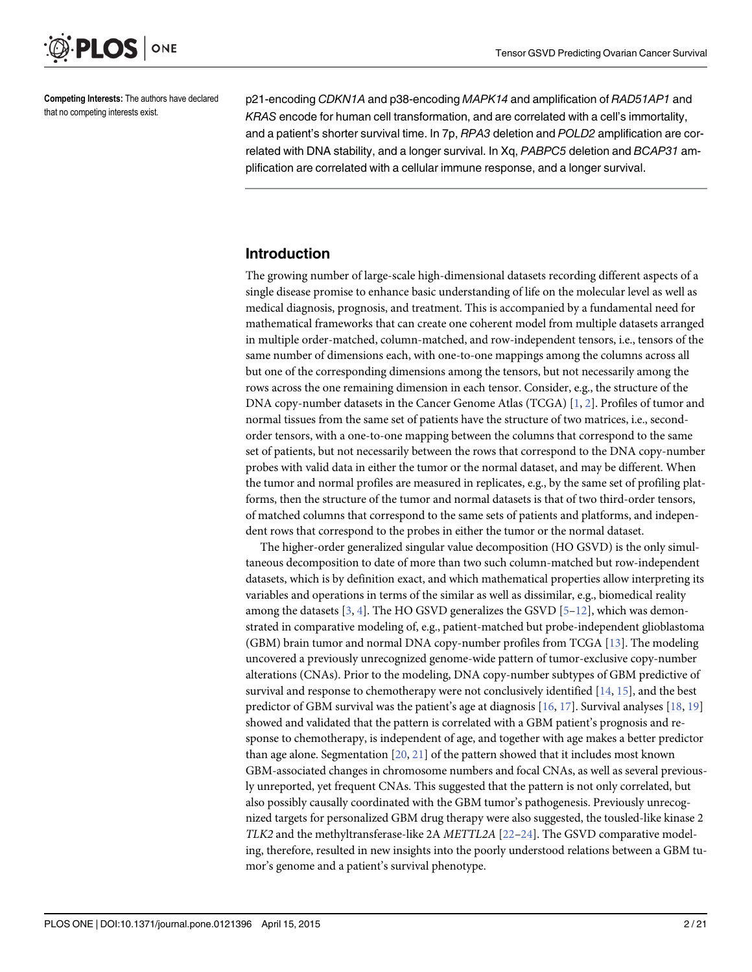<span id="page-1-0"></span>

Competing Interests: The authors have declared that no competing interests exist.

p21-encoding CDKN1A and p38-encoding MAPK14 and amplification of RAD51AP1 and KRAS encode for human cell transformation, and are correlated with a cell's immortality, and a patient's shorter survival time. In 7p, RPA3 deletion and POLD2 amplification are correlated with DNA stability, and a longer survival. In Xq, PABPC5 deletion and BCAP31 amplification are correlated with a cellular immune response, and a longer survival.

### Introduction

The growing number of large-scale high-dimensional datasets recording different aspects of a single disease promise to enhance basic understanding of life on the molecular level as well as medical diagnosis, prognosis, and treatment. This is accompanied by a fundamental need for mathematical frameworks that can create one coherent model from multiple datasets arranged in multiple order-matched, column-matched, and row-independent tensors, i.e., tensors of the same number of dimensions each, with one-to-one mappings among the columns across all but one of the corresponding dimensions among the tensors, but not necessarily among the rows across the one remaining dimension in each tensor. Consider, e.g., the structure of the DNA copy-number datasets in the Cancer Genome Atlas (TCGA) [\[1](#page-17-0), [2](#page-17-0)]. Profiles of tumor and normal tissues from the same set of patients have the structure of two matrices, i.e., secondorder tensors, with a one-to-one mapping between the columns that correspond to the same set of patients, but not necessarily between the rows that correspond to the DNA copy-number probes with valid data in either the tumor or the normal dataset, and may be different. When the tumor and normal profiles are measured in replicates, e.g., by the same set of profiling platforms, then the structure of the tumor and normal datasets is that of two third-order tensors, of matched columns that correspond to the same sets of patients and platforms, and independent rows that correspond to the probes in either the tumor or the normal dataset.

The higher-order generalized singular value decomposition (HO GSVD) is the only simultaneous decomposition to date of more than two such column-matched but row-independent datasets, which is by definition exact, and which mathematical properties allow interpreting its variables and operations in terms of the similar as well as dissimilar, e.g., biomedical reality among the datasets  $[3, 4]$  $[3, 4]$  $[3, 4]$  $[3, 4]$ . The HO GSVD generalizes the GSVD  $[5-12]$  $[5-12]$  $[5-12]$  $[5-12]$  $[5-12]$ , which was demonstrated in comparative modeling of, e.g., patient-matched but probe-independent glioblastoma (GBM) brain tumor and normal DNA copy-number profiles from TCGA [\[13\]](#page-18-0). The modeling uncovered a previously unrecognized genome-wide pattern of tumor-exclusive copy-number alterations (CNAs). Prior to the modeling, DNA copy-number subtypes of GBM predictive of survival and response to chemotherapy were not conclusively identified  $[14, 15]$  $[14, 15]$  $[14, 15]$ , and the best predictor of GBM survival was the patient's age at diagnosis  $[16, 17]$  $[16, 17]$  $[16, 17]$  $[16, 17]$  $[16, 17]$ . Survival analyses  $[18, 19]$  $[18, 19]$  $[18, 19]$  $[18, 19]$  $[18, 19]$ showed and validated that the pattern is correlated with a GBM patient's prognosis and response to chemotherapy, is independent of age, and together with age makes a better predictor than age alone. Segmentation [[20](#page-18-0), [21](#page-18-0)] of the pattern showed that it includes most known GBM-associated changes in chromosome numbers and focal CNAs, as well as several previously unreported, yet frequent CNAs. This suggested that the pattern is not only correlated, but also possibly causally coordinated with the GBM tumor's pathogenesis. Previously unrecognized targets for personalized GBM drug therapy were also suggested, the tousled-like kinase 2 TLK2 and the methyltransferase-like 2A METTL2A [[22](#page-18-0)–[24\]](#page-18-0). The GSVD comparative modeling, therefore, resulted in new insights into the poorly understood relations between a GBM tumor's genome and a patient's survival phenotype.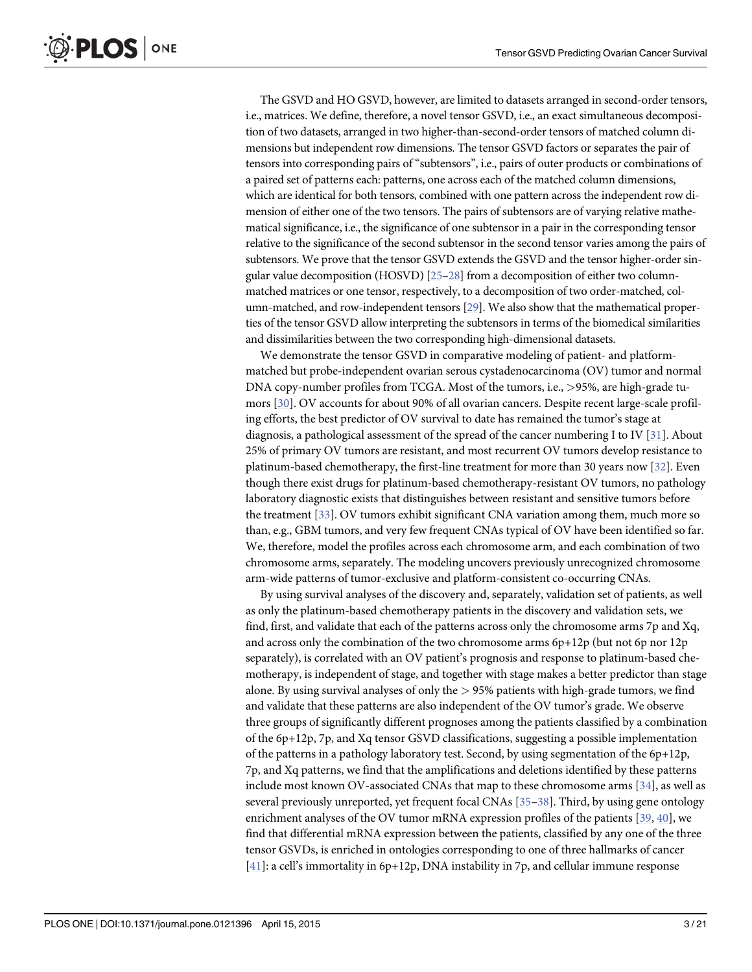<span id="page-2-0"></span>The GSVD and HO GSVD, however, are limited to datasets arranged in second-order tensors, i.e., matrices. We define, therefore, a novel tensor GSVD, i.e., an exact simultaneous decomposition of two datasets, arranged in two higher-than-second-order tensors of matched column dimensions but independent row dimensions. The tensor GSVD factors or separates the pair of tensors into corresponding pairs of "subtensors", i.e., pairs of outer products or combinations of a paired set of patterns each: patterns, one across each of the matched column dimensions, which are identical for both tensors, combined with one pattern across the independent row dimension of either one of the two tensors. The pairs of subtensors are of varying relative mathematical significance, i.e., the significance of one subtensor in a pair in the corresponding tensor relative to the significance of the second subtensor in the second tensor varies among the pairs of subtensors. We prove that the tensor GSVD extends the GSVD and the tensor higher-order singular value decomposition (HOSVD)  $[25-28]$  $[25-28]$  $[25-28]$  $[25-28]$  from a decomposition of either two columnmatched matrices or one tensor, respectively, to a decomposition of two order-matched, column-matched, and row-independent tensors [\[29\]](#page-18-0). We also show that the mathematical properties of the tensor GSVD allow interpreting the subtensors in terms of the biomedical similarities and dissimilarities between the two corresponding high-dimensional datasets.

We demonstrate the tensor GSVD in comparative modeling of patient- and platformmatched but probe-independent ovarian serous cystadenocarcinoma (OV) tumor and normal DNA copy-number profiles from TCGA. Most of the tumors, i.e., >95%, are high-grade tumors [\[30\]](#page-18-0). OV accounts for about 90% of all ovarian cancers. Despite recent large-scale profiling efforts, the best predictor of OV survival to date has remained the tumor's stage at diagnosis, a pathological assessment of the spread of the cancer numbering I to IV [[31](#page-18-0)]. About 25% of primary OV tumors are resistant, and most recurrent OV tumors develop resistance to platinum-based chemotherapy, the first-line treatment for more than 30 years now [[32](#page-18-0)]. Even though there exist drugs for platinum-based chemotherapy-resistant OV tumors, no pathology laboratory diagnostic exists that distinguishes between resistant and sensitive tumors before the treatment [\[33\]](#page-19-0). OV tumors exhibit significant CNA variation among them, much more so than, e.g., GBM tumors, and very few frequent CNAs typical of OV have been identified so far. We, therefore, model the profiles across each chromosome arm, and each combination of two chromosome arms, separately. The modeling uncovers previously unrecognized chromosome arm-wide patterns of tumor-exclusive and platform-consistent co-occurring CNAs.

By using survival analyses of the discovery and, separately, validation set of patients, as well as only the platinum-based chemotherapy patients in the discovery and validation sets, we find, first, and validate that each of the patterns across only the chromosome arms 7p and Xq, and across only the combination of the two chromosome arms 6p+12p (but not 6p nor 12p separately), is correlated with an OV patient's prognosis and response to platinum-based chemotherapy, is independent of stage, and together with stage makes a better predictor than stage alone. By using survival analyses of only the  $> 95\%$  patients with high-grade tumors, we find and validate that these patterns are also independent of the OV tumor's grade. We observe three groups of significantly different prognoses among the patients classified by a combination of the 6p+12p, 7p, and Xq tensor GSVD classifications, suggesting a possible implementation of the patterns in a pathology laboratory test. Second, by using segmentation of the 6p+12p, 7p, and Xq patterns, we find that the amplifications and deletions identified by these patterns include most known OV-associated CNAs that map to these chromosome arms [[34](#page-19-0)], as well as several previously unreported, yet frequent focal CNAs  $[35-38]$  $[35-38]$  $[35-38]$  $[35-38]$  $[35-38]$ . Third, by using gene ontology enrichment analyses of the OV tumor mRNA expression profiles of the patients [[39,](#page-19-0) [40\]](#page-19-0), we find that differential mRNA expression between the patients, classified by any one of the three tensor GSVDs, is enriched in ontologies corresponding to one of three hallmarks of cancer [\[41](#page-19-0)]: a cell's immortality in 6p+12p, DNA instability in 7p, and cellular immune response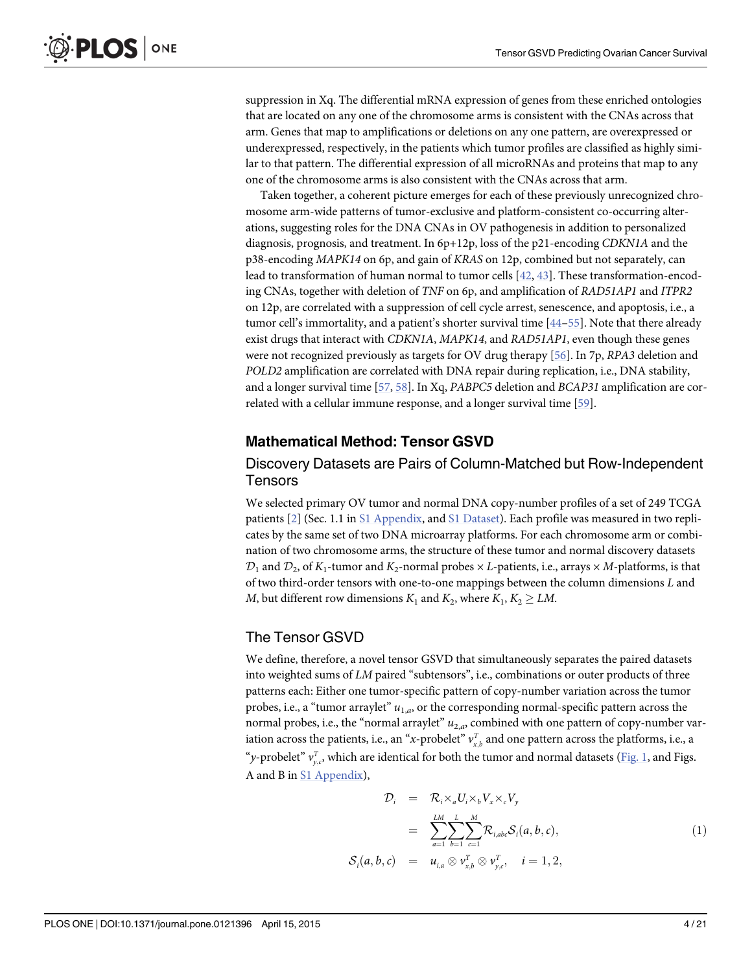<span id="page-3-0"></span>suppression in Xq. The differential mRNA expression of genes from these enriched ontologies that are located on any one of the chromosome arms is consistent with the CNAs across that arm. Genes that map to amplifications or deletions on any one pattern, are overexpressed or underexpressed, respectively, in the patients which tumor profiles are classified as highly similar to that pattern. The differential expression of all microRNAs and proteins that map to any one of the chromosome arms is also consistent with the CNAs across that arm.

Taken together, a coherent picture emerges for each of these previously unrecognized chromosome arm-wide patterns of tumor-exclusive and platform-consistent co-occurring alterations, suggesting roles for the DNA CNAs in OV pathogenesis in addition to personalized diagnosis, prognosis, and treatment. In 6p+12p, loss of the p21-encoding CDKN1A and the p38-encoding MAPK14 on 6p, and gain of KRAS on 12p, combined but not separately, can lead to transformation of human normal to tumor cells [\[42,](#page-19-0) [43\]](#page-19-0). These transformation-encoding CNAs, together with deletion of TNF on 6p, and amplification of RAD51AP1 and ITPR2 on 12p, are correlated with a suppression of cell cycle arrest, senescence, and apoptosis, i.e., a tumor cell's immortality, and a patient's shorter survival time  $[44–55]$  $[44–55]$  $[44–55]$  $[44–55]$  $[44–55]$ . Note that there already exist drugs that interact with CDKN1A, MAPK14, and RAD51AP1, even though these genes were not recognized previously as targets for OV drug therapy [[56](#page-20-0)]. In 7p, RPA3 deletion and POLD2 amplification are correlated with DNA repair during replication, i.e., DNA stability, and a longer survival time [\[57,](#page-20-0) [58\]](#page-20-0). In Xq, PABPC5 deletion and BCAP31 amplification are correlated with a cellular immune response, and a longer survival time [[59](#page-20-0)].

### Mathematical Method: Tensor GSVD

## Discovery Datasets are Pairs of Column-Matched but Row-Independent Tensors

We selected primary OV tumor and normal DNA copy-number profiles of a set of 249 TCGA patients [\[2\]](#page-17-0) (Sec. 1.1 in [S1 Appendix,](#page-16-0) and [S1 Dataset\)](#page-16-0). Each profile was measured in two replicates by the same set of two DNA microarray platforms. For each chromosome arm or combination of two chromosome arms, the structure of these tumor and normal discovery datasets  $\mathcal{D}_1$  and  $\mathcal{D}_2$ , of  $K_1$ -tumor and  $K_2$ -normal probes  $\times$  L-patients, i.e., arrays  $\times$  M-platforms, is that of two third-order tensors with one-to-one mappings between the column dimensions L and *M*, but different row dimensions  $K_1$  and  $K_2$ , where  $K_1, K_2 \geq LM$ .

### The Tensor GSVD

We define, therefore, a novel tensor GSVD that simultaneously separates the paired datasets into weighted sums of LM paired "subtensors", i.e., combinations or outer products of three patterns each: Either one tumor-specific pattern of copy-number variation across the tumor probes, i.e., a "tumor arraylet"  $u_{1,a}$ , or the corresponding normal-specific pattern across the normal probes, i.e., the "normal arraylet"  $u_{2,a}$ , combined with one pattern of copy-number variation across the patients, i.e., an "x-probelet"  $v_{x,b}^T$  and one pattern across the platforms, i.e., a "y-probelet"  $v_{y,c}^T$ , which are identical for both the tumor and normal datasets ([Fig. 1](#page-4-0), and Figs. A and B in [S1 Appendix\)](#page-16-0),

$$
\mathcal{D}_{i} = \mathcal{R}_{i} \times_{a} U_{i} \times_{b} V_{x} \times_{c} V_{y}
$$
\n
$$
= \sum_{a=1}^{LM} \sum_{b=1}^{L} \sum_{c=1}^{M} \mathcal{R}_{i,abc} \mathcal{S}_{i}(a, b, c),
$$
\n
$$
\mathcal{S}_{i}(a, b, c) = u_{i,a} \otimes v_{x,b}^{T} \otimes v_{y,c}^{T}, \quad i = 1, 2,
$$
\n
$$
(1)
$$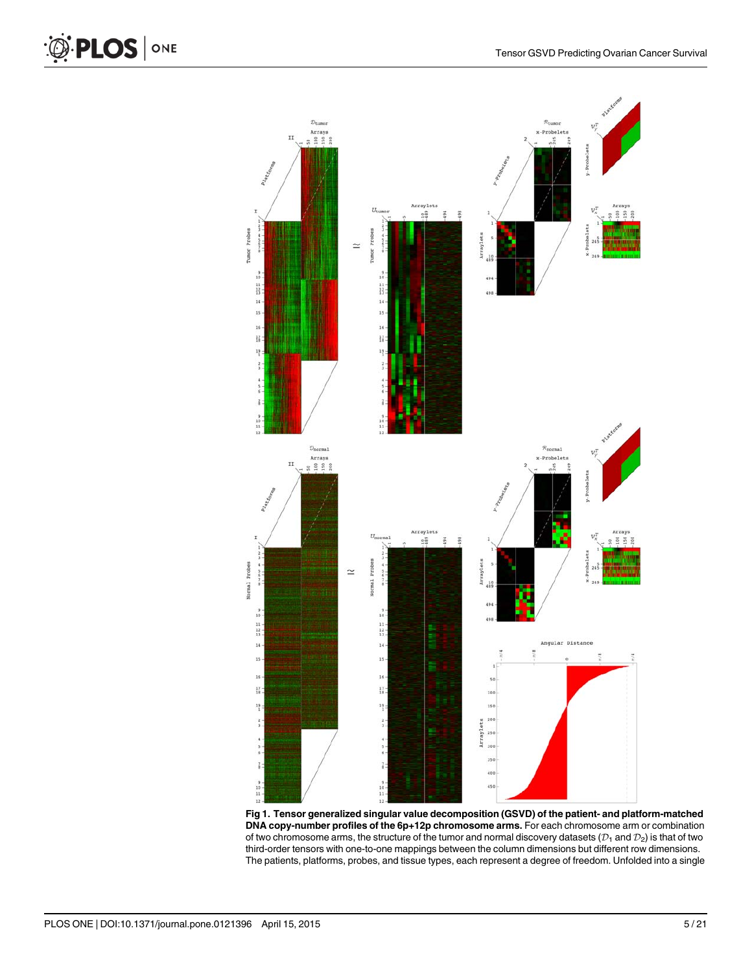

[Fig 1. T](#page-3-0)ensor generalized singular value decomposition (GSVD) of the patient- and platform-matched DNA copy-number profiles of the 6p+12p chromosome arms. For each chromosome arm or combination of two chromosome arms, the structure of the tumor and normal discovery datasets ( $\mathcal{D}_1$  and  $\mathcal{D}_2$ ) is that of two third-order tensors with one-to-one mappings between the column dimensions but different row dimensions. The patients, platforms, probes, and tissue types, each represent a degree of freedom. Unfolded into a single

<span id="page-4-0"></span>O PLOS ONE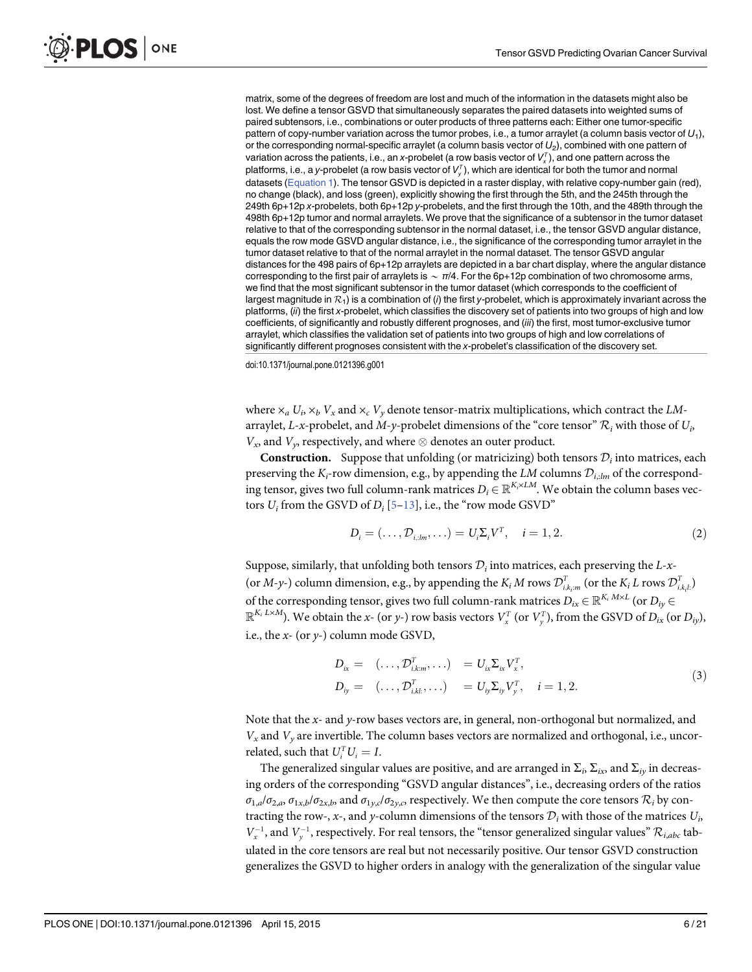<span id="page-5-0"></span>matrix, some of the degrees of freedom are lost and much of the information in the datasets might also be lost. We define a tensor GSVD that simultaneously separates the paired datasets into weighted sums of paired subtensors, i.e., combinations or outer products of three patterns each: Either one tumor-specific pattern of copy-number variation across the tumor probes, i.e., a tumor arraylet (a column basis vector of  $U_1$ ), or the corresponding normal-specific arraylet (a column basis vector of  $U_2$ ), combined with one pattern of variation across the patients, i.e., an x-probelet (a row basis vector of  $V_x^{\tau}$ ), and one pattern across the platforms, i.e., a y-probelet (a row basis vector of  $V_{_y}^{\tau}$ ), which are identical for both the tumor and normal datasets [\(Equation 1\)](#page-3-0). The tensor GSVD is depicted in a raster display, with relative copy-number gain (red), no change (black), and loss (green), explicitly showing the first through the 5th, and the 245th through the 249th 6p+12p x-probelets, both 6p+12p y-probelets, and the first through the 10th, and the 489th through the 498th 6p+12p tumor and normal arraylets. We prove that the significance of a subtensor in the tumor dataset relative to that of the corresponding subtensor in the normal dataset, i.e., the tensor GSVD angular distance, equals the row mode GSVD angular distance, i.e., the significance of the corresponding tumor arraylet in the tumor dataset relative to that of the normal arraylet in the normal dataset. The tensor GSVD angular distances for the 498 pairs of 6p+12p arraylets are depicted in a bar chart display, where the angular distance corresponding to the first pair of arraylets is  $\sim \pi/4$ . For the 6p+12p combination of two chromosome arms, we find that the most significant subtensor in the tumor dataset (which corresponds to the coefficient of largest magnitude in  $\mathcal{R}_1$ ) is a combination of (i) the first y-probelet, which is approximately invariant across the platforms, (ii) the first x-probelet, which classifies the discovery set of patients into two groups of high and low coefficients, of significantly and robustly different prognoses, and (iii) the first, most tumor-exclusive tumor arraylet, which classifies the validation set of patients into two groups of high and low correlations of significantly different prognoses consistent with the x-probelet's classification of the discovery set.

doi:10.1371/journal.pone.0121396.g001

where  $\times_a U_i$ ,  $\times_b V_x$  and  $\times_c V_y$  denote tensor-matrix multiplications, which contract the LMarraylet, L-x-probelet, and M-y-probelet dimensions of the "core tensor"  $\mathcal{R}_i$  with those of  $U_i$ ,  $V_x$ , and  $V_y$ , respectively, and where  $\otimes$  denotes an outer product.

**Construction.** Suppose that unfolding (or matricizing) both tensors  $D_i$  into matrices, each preserving the  $K_i$ -row dimension, e.g., by appending the LM columns  $\mathcal{D}_{i,lm}$  of the corresponding tensor, gives two full column-rank matrices  $D_i \in \mathbb{R}^{K_i \times LM}$ . We obtain the column bases vectors  $U_i$  from the GSVD of  $D_i$  [\[5](#page-17-0)–[13\]](#page-18-0), i.e., the "row mode GSVD"

$$
D_i = (\dots, \mathcal{D}_{i,lm}, \dots) = U_i \Sigma_i V^T, \quad i = 1, 2. \tag{2}
$$

Suppose, similarly, that unfolding both tensors  $\mathcal{D}_i$  into matrices, each preserving the L-x-(or M-y-) column dimension, e.g., by appending the  $K_i$  M rows  $\mathcal{D}^T_{i,k_i:m}$  (or the  $K_i$  L rows  $\mathcal{D}^T_{i,k_i:k}$ of the corresponding tensor, gives two full column-rank matrices  $D_{ix} \in \mathbb{R}^{K_i M \times L}$  (or  $D_{iv} \in$  $\mathbb{R}^{K_i\,L\times M}$ ). We obtain the x- (or y-) row basis vectors  $V^T_x$  (or  $V^T_y$ ), from the GSVD of  $D_{ix}$  (or  $D_{iy}$ ), i.e., the  $x$ - (or  $y$ -) column mode GSVD,

$$
D_{ix} = (\dots, \mathcal{D}_{i,km}^T, \dots) = U_{ix} \Sigma_{ix} V_x^T,
$$
  
\n
$$
D_{iy} = (\dots, \mathcal{D}_{i,kl}^T, \dots) = U_{iy} \Sigma_{iy} V_y^T, \quad i = 1, 2.
$$
\n(3)

Note that the x- and y-row bases vectors are, in general, non-orthogonal but normalized, and  $V_x$  and  $V_y$  are invertible. The column bases vectors are normalized and orthogonal, i.e., uncorrelated, such that  $U_i^T U_i = I$ .

The generalized singular values are positive, and are arranged in  $\Sigma_i$ ,  $\Sigma_{i;x}$  and  $\Sigma_{iy}$  in decreasing orders of the corresponding "GSVD angular distances", i.e., decreasing orders of the ratios  $\sigma_{1,a}/\sigma_{2,a}$ ,  $\sigma_{1x,b}/\sigma_{2x,b}$ , and  $\sigma_{1y,c}/\sigma_{2y,c}$ , respectively. We then compute the core tensors  $\mathcal{R}_i$  by contracting the row-, x-, and y-column dimensions of the tensors  $\mathcal{D}_i$  with those of the matrices  $U_i$ ,  $V_x^{-1}$ , and  $V_y^{-1}$ , respectively. For real tensors, the "tensor generalized singular values"  $\mathcal{R}_{i,abc}$  tabulated in the core tensors are real but not necessarily positive. Our tensor GSVD construction generalizes the GSVD to higher orders in analogy with the generalization of the singular value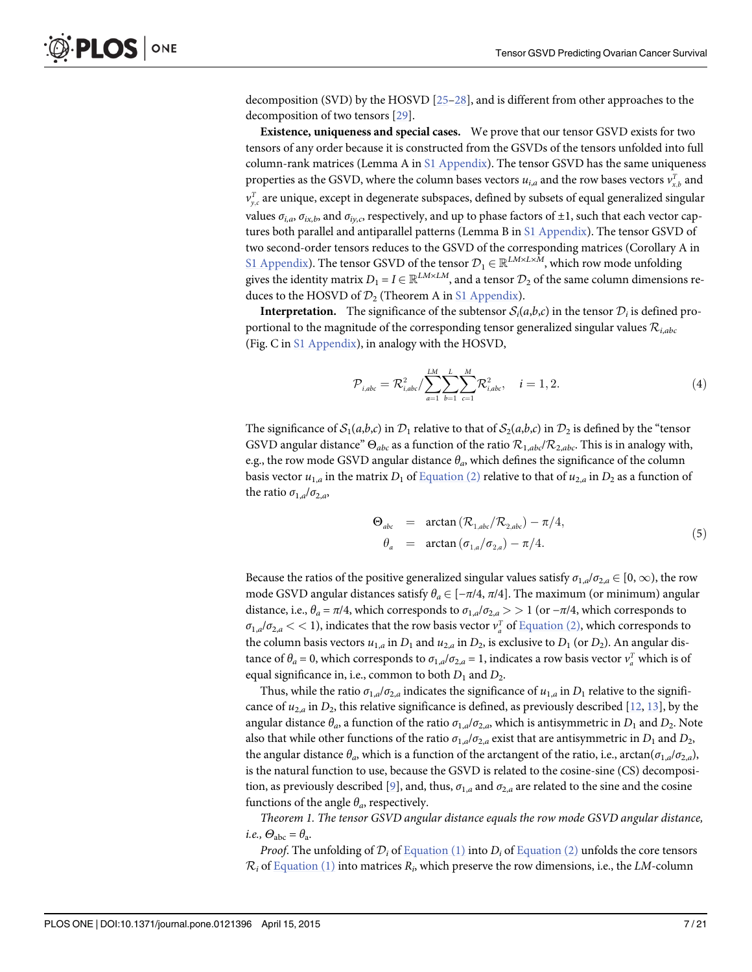<span id="page-6-0"></span>decomposition (SVD) by the HOSVD  $[25-28]$  $[25-28]$  $[25-28]$  $[25-28]$ , and is different from other approaches to the decomposition of two tensors [[29](#page-18-0)].

Existence, uniqueness and special cases. We prove that our tensor GSVD exists for two tensors of any order because it is constructed from the GSVDs of the tensors unfolded into full column-rank matrices (Lemma A in  $S1$  Appendix). The tensor GSVD has the same uniqueness properties as the GSVD, where the column bases vectors  $u_{i,a}$  and the row bases vectors  $v_{x,b}^T$  and  $v_{y,c}^T$  are unique, except in degenerate subspaces, defined by subsets of equal generalized singular values  $\sigma_{i,q}$ ,  $\sigma_{i\kappa}$ , and  $\sigma_{i\kappa}$ , respectively, and up to phase factors of  $\pm 1$ , such that each vector cap-tures both parallel and antiparallel patterns (Lemma B in [S1 Appendix\)](#page-16-0). The tensor GSVD of two second-order tensors reduces to the GSVD of the corresponding matrices (Corollary A in <u>[S1 Appendix](#page-16-0)</u>). The tensor GSVD of the tensor  $\mathcal{D}_1 \in \mathbb{R}^{LM \times L \times M}$ , which row mode unfolding gives the identity matrix  $D_1 = I \in \mathbb{R}^{LM \times LM}$ , and a tensor  $D_2$  of the same column dimensions reduces to the HOSVD of  $\mathcal{D}_2$  (Theorem A in  $\underline{\text{S1} \text{ Appendix}}$ ).

**Interpretation.** The significance of the subtensor  $S_i(a,b,c)$  in the tensor  $D_i$  is defined proportional to the magnitude of the corresponding tensor generalized singular values  $\mathcal{R}_{i,abc}$ (Fig. C in [S1 Appendix](#page-16-0)), in analogy with the HOSVD,

$$
\mathcal{P}_{i,abc} = \mathcal{R}_{i,abc}^2 / \sum_{a=1}^{LM} \sum_{b=1}^{L} \sum_{c=1}^{M} \mathcal{R}_{i,abc}^2, \quad i = 1, 2.
$$
 (4)

The significance of  $S_1(a,b,c)$  in  $\mathcal{D}_1$  relative to that of  $S_2(a,b,c)$  in  $\mathcal{D}_2$  is defined by the "tensor" GSVD angular distance"  $\Theta_{abc}$  as a function of the ratio  $\mathcal{R}_{1,abc}/\mathcal{R}_{2,abc}$ . This is in analogy with, e.g., the row mode GSVD angular distance  $\theta_a$ , which defines the significance of the column basis vector  $u_{1,a}$  in the matrix  $D_1$  of [Equation \(2\)](#page-5-0) relative to that of  $u_{2,a}$  in  $D_2$  as a function of the ratio  $\sigma_{1,a}/\sigma_{2,a}$ ,

$$
\Theta_{abc} = \arctan\left(\mathcal{R}_{1,abc}/\mathcal{R}_{2,abc}\right) - \pi/4,
$$
\n
$$
\theta_a = \arctan\left(\sigma_{1,a}/\sigma_{2,a}\right) - \pi/4.
$$
\n(5)

Because the ratios of the positive generalized singular values satisfy  $\sigma_{1,a}/\sigma_{2,a} \in [0,\infty)$ , the row mode GSVD angular distances satisfy  $\theta_a \in [-\pi/4, \pi/4]$ . The maximum (or minimum) angular distance, i.e.,  $\theta_a = \pi/4$ , which corresponds to  $\sigma_{1,a}/\sigma_{2,a}$  > > 1 (or - $\pi/4$ , which corresponds to  $\sigma_{1,a}/\sigma_{2,a}$  < < 1), indicates that the row basis vector  $v_a^T$  of <u>Equation (2)</u>, which corresponds to the column basis vectors  $u_{1,a}$  in  $D_1$  and  $u_{2,a}$  in  $D_2$ , is exclusive to  $D_1$  (or  $D_2$ ). An angular distance of  $\theta_a = 0$ , which corresponds to  $\sigma_{1,a}/\sigma_{2,a} = 1$ , indicates a row basis vector  $v_a^T$  which is of equal significance in, i.e., common to both  $D_1$  and  $D_2$ .

Thus, while the ratio  $\sigma_{1,a}/\sigma_{2,a}$  indicates the significance of  $u_{1,a}$  in  $D_1$  relative to the significance of  $u_{2,a}$  in  $D_2$ , this relative significance is defined, as previously described [[12,](#page-18-0) [13](#page-18-0)], by the angular distance  $\theta_a$ , a function of the ratio  $\sigma_{1,a}/\sigma_{2,a}$ , which is antisymmetric in  $D_1$  and  $D_2$ . Note also that while other functions of the ratio  $\sigma_{1,a}/\sigma_{2,a}$  exist that are antisymmetric in  $D_1$  and  $D_2$ , the angular distance  $\theta_a$ , which is a function of the arctangent of the ratio, i.e., arctan( $\sigma_{1,a}/\sigma_{2,a}$ ), is the natural function to use, because the GSVD is related to the cosine-sine (CS) decomposi-tion, as previously described [[9](#page-17-0)], and, thus,  $\sigma_{1,a}$  and  $\sigma_{2,a}$  are related to the sine and the cosine functions of the angle  $\theta_a$ , respectively.

Theorem 1. The tensor GSVD angular distance equals the row mode GSVD angular distance, *i.e.*,  $\Theta_{abc} = \theta_a$ .

*Proof.* The unfolding of  $D_i$  of [Equation \(1\)](#page-3-0) into  $D_i$  of [Equation \(2\)](#page-5-0) unfolds the core tensors  $\mathcal{R}_i$  of [Equation \(1\)](#page-3-0) into matrices  $R_i$ , which preserve the row dimensions, i.e., the LM-column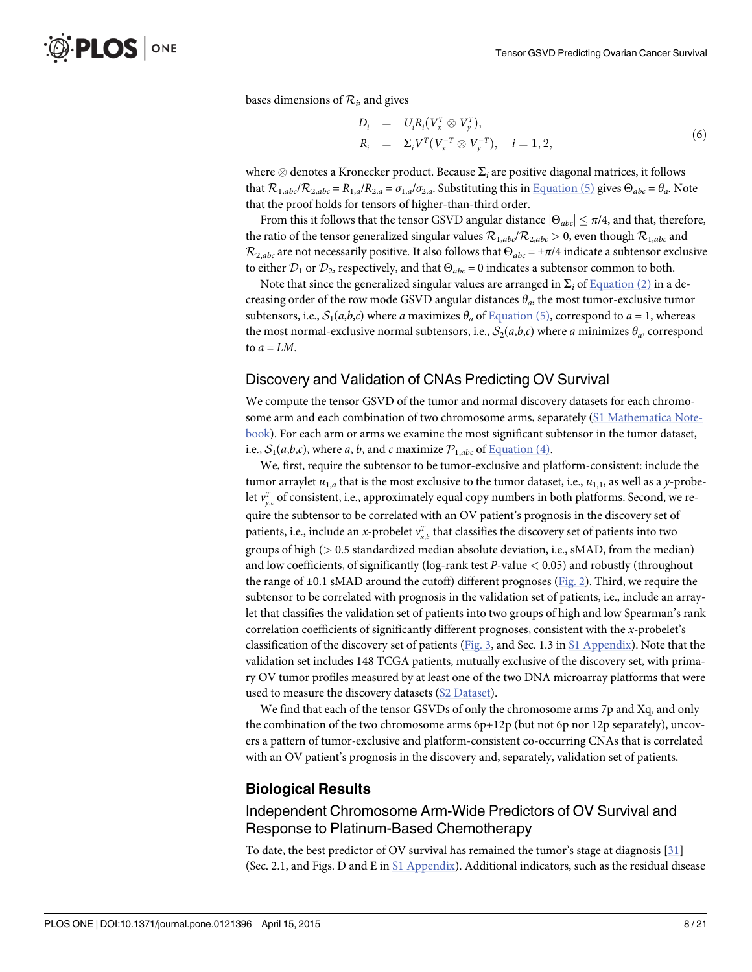<span id="page-7-0"></span>bases dimensions of  $\mathcal{R}_i$ , and gives

$$
D_i = U_i R_i (V_x^T \otimes V_y^T),
$$
  
\n
$$
R_i = \Sigma_i V^T (V_x^{-T} \otimes V_y^{-T}), \quad i = 1, 2,
$$
\n
$$
(6)
$$

where  $\otimes$  denotes a Kronecker product. Because  $\Sigma_i$  are positive diagonal matrices, it follows that  $\mathcal{R}_{1,abc}/\mathcal{R}_{2,abc} = \mathcal{R}_{1,a}/\mathcal{R}_{2,a} = \sigma_{1,a}/\sigma_{2,a}$ . Substituting this in [Equation \(5\)](#page-6-0) gives  $\Theta_{abc} = \theta_a$ . Note that the proof holds for tensors of higher-than-third order.

From this it follows that the tensor GSVD angular distance  $|\Theta_{abc}| \leq \pi/4$ , and that, therefore, the ratio of the tensor generalized singular values  $\mathcal{R}_{1,abc}/\mathcal{R}_{2,abc} > 0$ , even though  $\mathcal{R}_{1,abc}$  and  $\mathcal{R}_{2,abc}$  are not necessarily positive. It also follows that  $\Theta_{abc} = \pm \pi/4$  indicate a subtensor exclusive to either  $\mathcal{D}_1$  or  $\mathcal{D}_2$ , respectively, and that  $\Theta_{abc} = 0$  indicates a subtensor common to both.

Note that since the generalized singular values are arranged in  $\Sigma_i$  of [Equation \(2\)](#page-5-0) in a decreasing order of the row mode GSVD angular distances  $\theta_a$ , the most tumor-exclusive tumor subtensors, i.e.,  $S_1(a,b,c)$  where a maximizes  $\theta_a$  of <u>Equation (5)</u>, correspond to  $a = 1$ , whereas the most normal-exclusive normal subtensors, i.e.,  $S_2(a,b,c)$  where a minimizes  $\theta_a$ , correspond to  $a = LM$ .

#### Discovery and Validation of CNAs Predicting OV Survival

We compute the tensor GSVD of the tumor and normal discovery datasets for each chromosome arm and each combination of two chromosome arms, separately [\(S1 Mathematica Note](#page-16-0)[book\)](#page-16-0). For each arm or arms we examine the most significant subtensor in the tumor dataset, i.e.,  $S_1(a,b,c)$ , where a, b, and c maximize  $P_{1,abc}$  of <u>[Equation \(4\)](#page-6-0)</u>.

We, first, require the subtensor to be tumor-exclusive and platform-consistent: include the tumor arraylet  $u_{1,a}$  that is the most exclusive to the tumor dataset, i.e.,  $u_{1,1}$ , as well as a y-probelet  $v_{y,c}^T$  of consistent, i.e., approximately equal copy numbers in both platforms. Second, we require the subtensor to be correlated with an OV patient's prognosis in the discovery set of patients, i.e., include an x-probelet  $v_{x,b}^T$  that classifies the discovery set of patients into two groups of high (> 0.5 standardized median absolute deviation, i.e., sMAD, from the median) and low coefficients, of significantly (log-rank test P-value < 0.05) and robustly (throughout the range of  $\pm 0.1$  sMAD around the cutoff) different prognoses ([Fig. 2](#page-8-0)). Third, we require the subtensor to be correlated with prognosis in the validation set of patients, i.e., include an arraylet that classifies the validation set of patients into two groups of high and low Spearman's rank correlation coefficients of significantly different prognoses, consistent with the x-probelet's classification of the discovery set of patients [\(Fig. 3,](#page-10-0) and Sec. 1.3 in  $\S$ 1 Appendix). Note that the validation set includes 148 TCGA patients, mutually exclusive of the discovery set, with primary OV tumor profiles measured by at least one of the two DNA microarray platforms that were used to measure the discovery datasets ([S2 Dataset\)](#page-16-0).

We find that each of the tensor GSVDs of only the chromosome arms 7p and Xq, and only the combination of the two chromosome arms  $6p+12p$  (but not 6p nor 12p separately), uncovers a pattern of tumor-exclusive and platform-consistent co-occurring CNAs that is correlated with an OV patient's prognosis in the discovery and, separately, validation set of patients.

#### Biological Results

## Independent Chromosome Arm-Wide Predictors of OV Survival and Response to Platinum-Based Chemotherapy

To date, the best predictor of OV survival has remained the tumor's stage at diagnosis [[31](#page-18-0)] (Sec. 2.1, and Figs. D and E in [S1 Appendix\)](#page-16-0). Additional indicators, such as the residual disease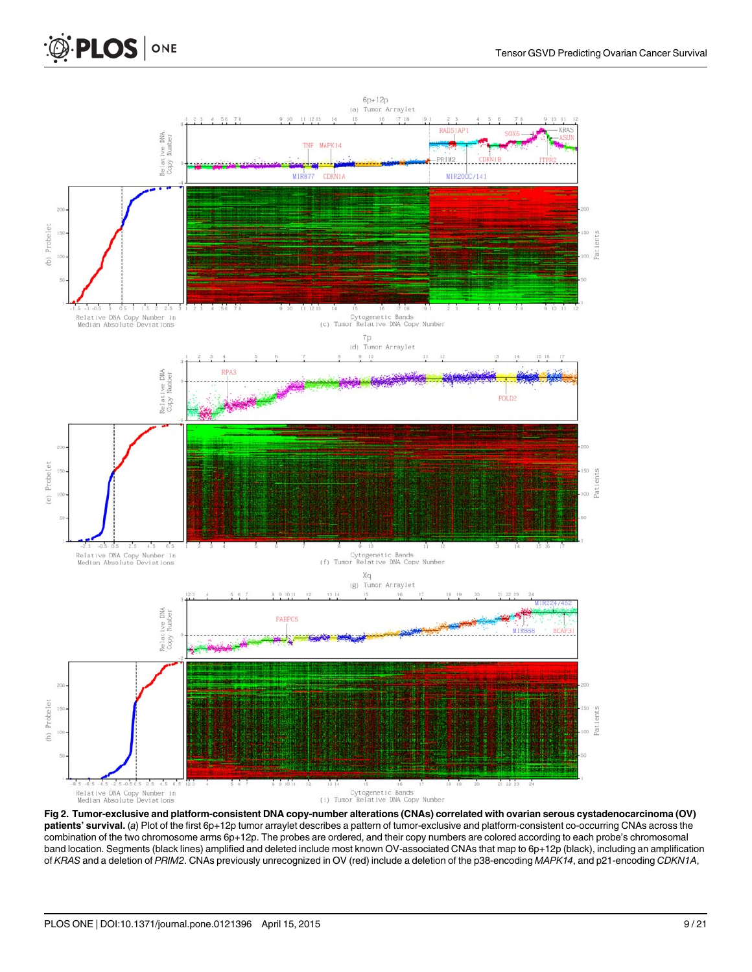$P_{\rm ST}$ 

<span id="page-8-0"></span>

[Fig 2. T](#page-7-0)umor-exclusive and platform-consistent DNA copy-number alterations (CNAs) correlated with ovarian serous cystadenocarcinoma (OV) patients' survival. (a) Plot of the first 6p+12p tumor arraylet describes a pattern of tumor-exclusive and platform-consistent co-occurring CNAs across the combination of the two chromosome arms 6p+12p. The probes are ordered, and their copy numbers are colored according to each probe's chromosomal band location. Segments (black lines) amplified and deleted include most known OV-associated CNAs that map to 6p+12p (black), including an amplification of KRAS and a deletion of PRIM2. CNAs previously unrecognized in OV (red) include a deletion of the p38-encoding MAPK14, and p21-encoding CDKN1A,

Cytogenetic Bands<br>(1) Tumor Relative DNA Copy Number

21 22 23

Relative DNA Copy Number in<br>Median Absolute Deviations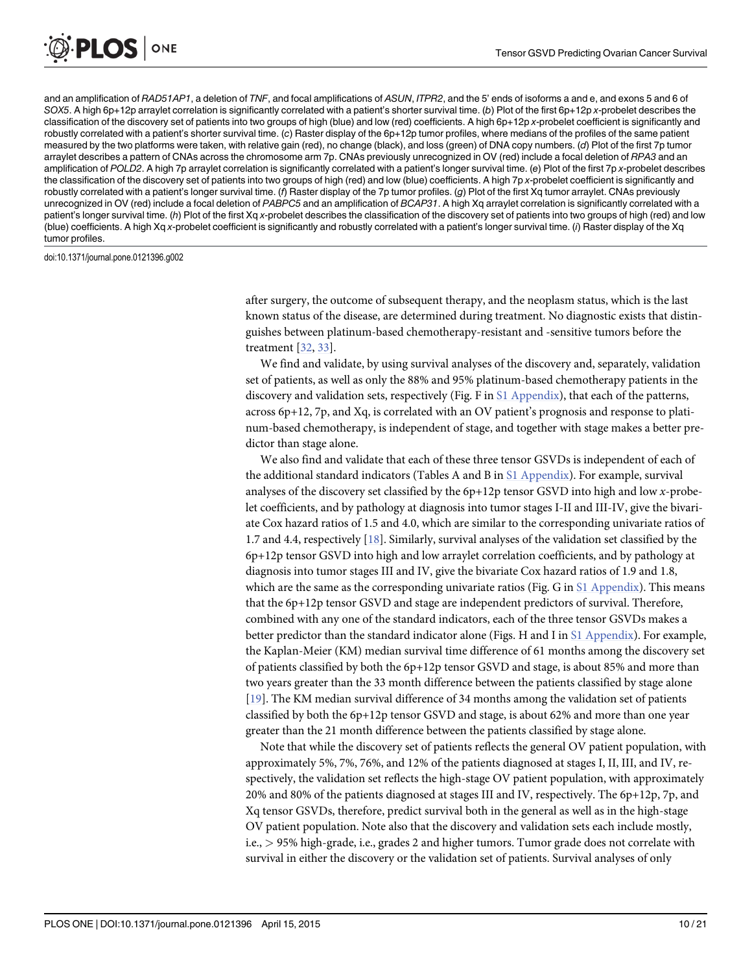

and an amplification of RAD51AP1, a deletion of TNF, and focal amplifications of ASUN, ITPR2, and the 5' ends of isoforms a and e, and exons 5 and 6 of SOX5. A high 6p+12p arraylet correlation is significantly correlated with a patient's shorter survival time. (b) Plot of the first 6p+12p x-probelet describes the classification of the discovery set of patients into two groups of high (blue) and low (red) coefficients. A high 6p+12p x-probelet coefficient is significantly and robustly correlated with a patient's shorter survival time. (c) Raster display of the 6p+12p tumor profiles, where medians of the profiles of the same patient measured by the two platforms were taken, with relative gain (red), no change (black), and loss (green) of DNA copy numbers. (d) Plot of the first 7p tumor arraylet describes a pattern of CNAs across the chromosome arm 7p. CNAs previously unrecognized in OV (red) include a focal deletion of RPA3 and an amplification of POLD2. A high 7p arraylet correlation is significantly correlated with a patient's longer survival time. (e) Plot of the first 7p x-probelet describes the classification of the discovery set of patients into two groups of high (red) and low (blue) coefficients. A high 7p x-probelet coefficient is significantly and robustly correlated with a patient's longer survival time. (f) Raster display of the 7p tumor profiles. (g) Plot of the first Xq tumor arraylet. CNAs previously unrecognized in OV (red) include a focal deletion of PABPC5 and an amplification of BCAP31. A high Xq arraylet correlation is significantly correlated with a patient's longer survival time. (h) Plot of the first Xq x-probelet describes the classification of the discovery set of patients into two groups of high (red) and low (blue) coefficients. A high Xq x-probelet coefficient is significantly and robustly correlated with a patient's longer survival time. (i) Raster display of the Xq tumor profiles.

doi:10.1371/journal.pone.0121396.g002

after surgery, the outcome of subsequent therapy, and the neoplasm status, which is the last known status of the disease, are determined during treatment. No diagnostic exists that distinguishes between platinum-based chemotherapy-resistant and -sensitive tumors before the treatment [[32](#page-18-0), [33](#page-19-0)].

We find and validate, by using survival analyses of the discovery and, separately, validation set of patients, as well as only the 88% and 95% platinum-based chemotherapy patients in the discovery and validation sets, respectively (Fig. F in [S1 Appendix\)](#page-16-0), that each of the patterns, across 6p+12, 7p, and Xq, is correlated with an OV patient's prognosis and response to platinum-based chemotherapy, is independent of stage, and together with stage makes a better predictor than stage alone.

We also find and validate that each of these three tensor GSVDs is independent of each of the additional standard indicators (Tables A and B in [S1 Appendix](#page-16-0)). For example, survival analyses of the discovery set classified by the  $6p+12p$  tensor GSVD into high and low x-probelet coefficients, and by pathology at diagnosis into tumor stages I-II and III-IV, give the bivariate Cox hazard ratios of 1.5 and 4.0, which are similar to the corresponding univariate ratios of 1.7 and 4.4, respectively  $[18]$  $[18]$  $[18]$ . Similarly, survival analyses of the validation set classified by the 6p+12p tensor GSVD into high and low arraylet correlation coefficients, and by pathology at diagnosis into tumor stages III and IV, give the bivariate Cox hazard ratios of 1.9 and 1.8, which are the same as the corresponding univariate ratios (Fig. G in  $S1$  Appendix). This means that the 6p+12p tensor GSVD and stage are independent predictors of survival. Therefore, combined with any one of the standard indicators, each of the three tensor GSVDs makes a better predictor than the standard indicator alone (Figs. H and I in [S1 Appendix](#page-16-0)). For example, the Kaplan-Meier (KM) median survival time difference of 61 months among the discovery set of patients classified by both the 6p+12p tensor GSVD and stage, is about 85% and more than two years greater than the 33 month difference between the patients classified by stage alone [\[19](#page-18-0)]. The KM median survival difference of 34 months among the validation set of patients classified by both the 6p+12p tensor GSVD and stage, is about 62% and more than one year greater than the 21 month difference between the patients classified by stage alone.

Note that while the discovery set of patients reflects the general OV patient population, with approximately 5%, 7%, 76%, and 12% of the patients diagnosed at stages I, II, III, and IV, respectively, the validation set reflects the high-stage OV patient population, with approximately 20% and 80% of the patients diagnosed at stages III and IV, respectively. The 6p+12p, 7p, and Xq tensor GSVDs, therefore, predict survival both in the general as well as in the high-stage OV patient population. Note also that the discovery and validation sets each include mostly, i.e., > 95% high-grade, i.e., grades 2 and higher tumors. Tumor grade does not correlate with survival in either the discovery or the validation set of patients. Survival analyses of only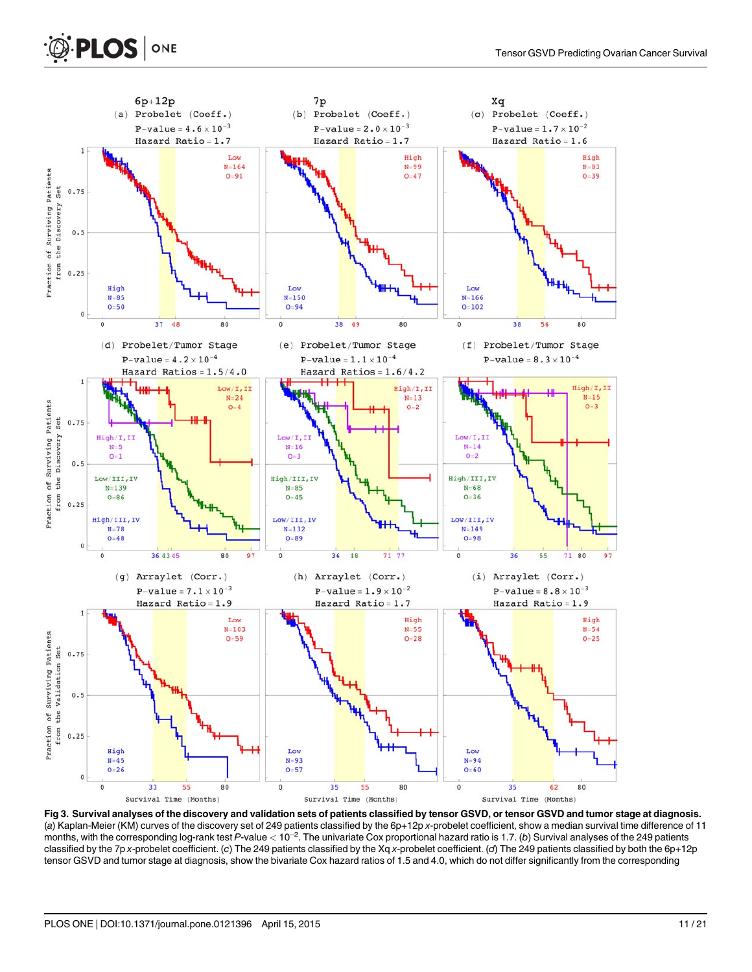

[Fig 3. S](#page-7-0)urvival analyses of the discovery and validation sets of patients classified by tensor GSVD, or tensor GSVD and tumor stage at diagnosis. (a) Kaplan-Meier (KM) curves of the discovery set of 249 patients classified by the 6p+12p x-probelet coefficient, show a median survival time difference of 11 **Fig 3. Survival analyses of the discovery and validation sets of patients classified by tensor GSVD, or tensor GSVD and tumor stage at diagnos<br>(a) Kaplan-Meier (KM) curves of the discovery set of 249 patients classified** classified by the 7p x-probelet coefficient. (c) The 249 patients classified by the Xq x-probelet coefficient. (d) The 249 patients classified by both the 6p+12p tensor GSVD and tumor stage at diagnosis, show the bivariate Cox hazard ratios of 1.5 and 4.0, which do not differ significantly from the corresponding

<span id="page-10-0"></span>**PLOS** | ONE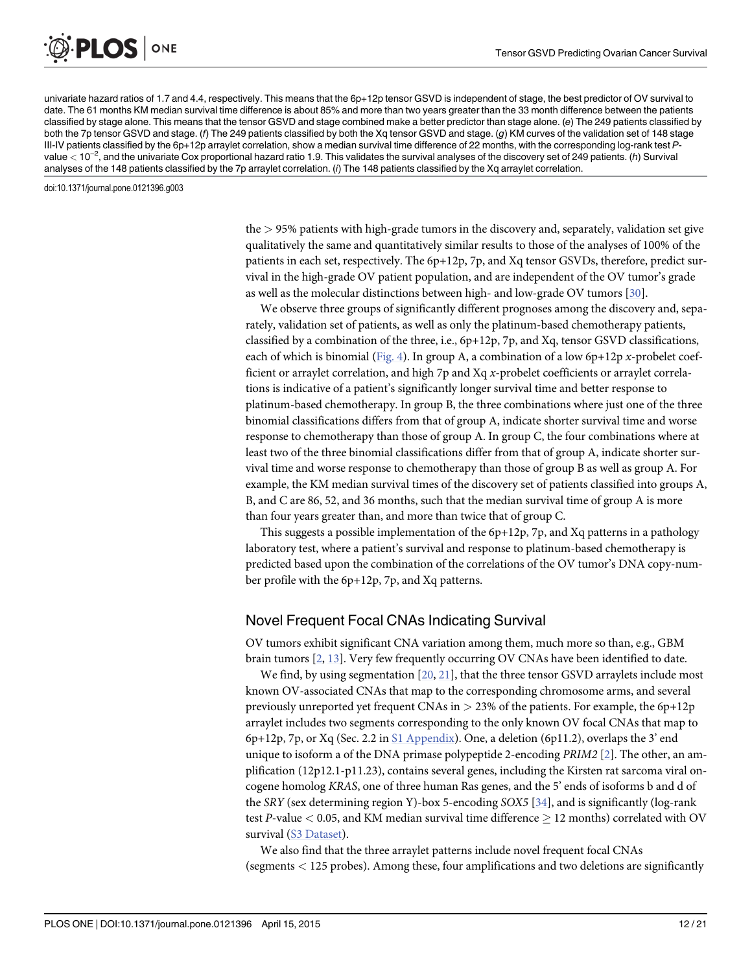univariate hazard ratios of 1.7 and 4.4, respectively. This means that the 6p+12p tensor GSVD is independent of stage, the best predictor of OV survival to date. The 61 months KM median survival time difference is about 85% and more than two years greater than the 33 month difference between the patients classified by stage alone. This means that the tensor GSVD and stage combined make a better predictor than stage alone. (e) The 249 patients classified by both the 7p tensor GSVD and stage. (f) The 249 patients classified by both the Xq tensor GSVD and stage. (g) KM curves of the validation set of 148 stage<br>III-IV patients classified by the 6p+12p arraylet correlation, show III-IV patients classified by the 6p+12p arraylet correlation, show a median survival time difference of 22 months, with the corresponding log-rank test Pvalue  $<$  10<sup>-2</sup>, and the univariate Cox proportional hazard ratio 1.9. This validates the survival analyses of the discovery set of 249 patients. (h) Survival analyses of the 148 patients classified by the 7p arraylet correlation. (i) The 148 patients classified by the Xq arraylet correlation.

doi:10.1371/journal.pone.0121396.g003

<span id="page-11-0"></span>**PLOS** ONE

the > 95% patients with high-grade tumors in the discovery and, separately, validation set give qualitatively the same and quantitatively similar results to those of the analyses of 100% of the patients in each set, respectively. The 6p+12p, 7p, and Xq tensor GSVDs, therefore, predict survival in the high-grade OV patient population, and are independent of the OV tumor's grade as well as the molecular distinctions between high- and low-grade OV tumors [[30](#page-18-0)].

We observe three groups of significantly different prognoses among the discovery and, separately, validation set of patients, as well as only the platinum-based chemotherapy patients, classified by a combination of the three, i.e., 6p+12p, 7p, and Xq, tensor GSVD classifications, each of which is binomial [\(Fig. 4](#page-12-0)). In group A, a combination of a low 6p+12p x-probelet coefficient or arraylet correlation, and high 7p and Xq x-probelet coefficients or arraylet correlations is indicative of a patient's significantly longer survival time and better response to platinum-based chemotherapy. In group B, the three combinations where just one of the three binomial classifications differs from that of group A, indicate shorter survival time and worse response to chemotherapy than those of group A. In group C, the four combinations where at least two of the three binomial classifications differ from that of group A, indicate shorter survival time and worse response to chemotherapy than those of group B as well as group A. For example, the KM median survival times of the discovery set of patients classified into groups A, B, and C are 86, 52, and 36 months, such that the median survival time of group A is more than four years greater than, and more than twice that of group C.

This suggests a possible implementation of the 6p+12p, 7p, and Xq patterns in a pathology laboratory test, where a patient's survival and response to platinum-based chemotherapy is predicted based upon the combination of the correlations of the OV tumor's DNA copy-number profile with the 6p+12p, 7p, and Xq patterns.

### Novel Frequent Focal CNAs Indicating Survival

OV tumors exhibit significant CNA variation among them, much more so than, e.g., GBM brain tumors  $[2, 13]$  $[2, 13]$  $[2, 13]$  $[2, 13]$  $[2, 13]$ . Very few frequently occurring OV CNAs have been identified to date.

We find, by using segmentation  $[20, 21]$  $[20, 21]$  $[20, 21]$ , that the three tensor GSVD arraylets include most known OV-associated CNAs that map to the corresponding chromosome arms, and several previously unreported yet frequent CNAs in > 23% of the patients. For example, the 6p+12p arraylet includes two segments corresponding to the only known OV focal CNAs that map to 6p+12p, 7p, or Xq (Sec. 2.2 in [S1 Appendix](#page-16-0)). One, a deletion (6p11.2), overlaps the 3' end unique to isoform a of the DNA primase polypeptide 2-encoding  $PRIM2$  [\[2\]](#page-17-0). The other, an amplification (12p12.1-p11.23), contains several genes, including the Kirsten rat sarcoma viral oncogene homolog KRAS, one of three human Ras genes, and the 5' ends of isoforms b and d of the SRY (sex determining region Y)-box 5-encoding SOX5 [[34\]](#page-19-0), and is significantly (log-rank test P-value  $< 0.05$ , and KM median survival time difference  $\geq 12$  months) correlated with OV survival ([S3 Dataset](#page-16-0)).

We also find that the three arraylet patterns include novel frequent focal CNAs (segments < 125 probes). Among these, four amplifications and two deletions are significantly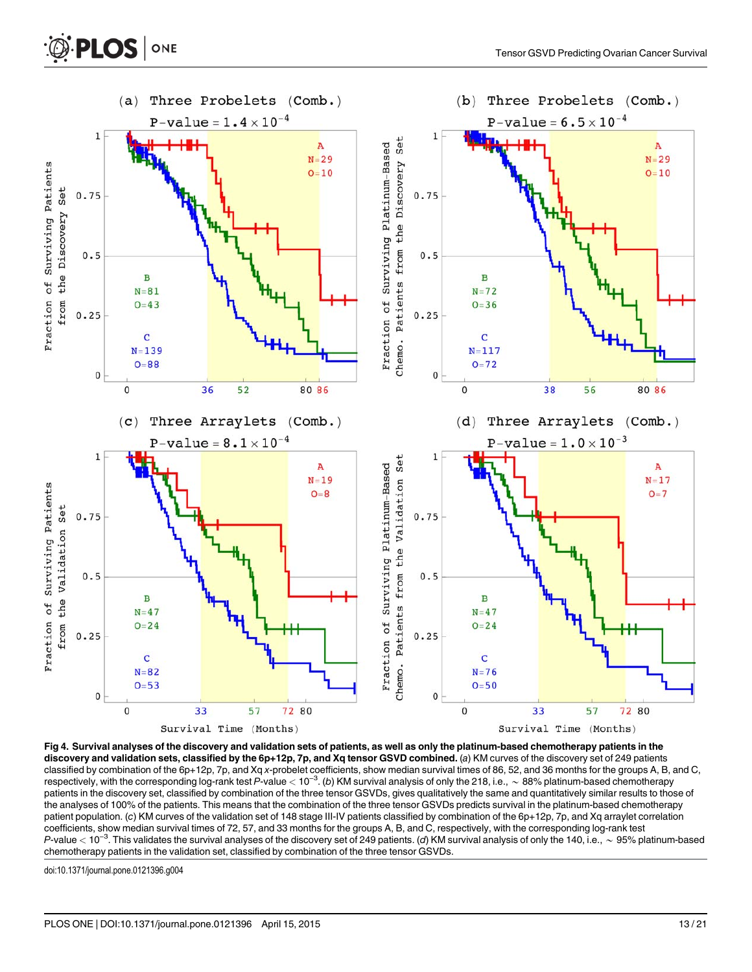

[Fig 4. S](#page-11-0)urvival analyses of the discovery and validation sets of patients, as well as only the platinum-based chemotherapy patients in the discovery and validation sets, classified by the 6p+12p, 7p, and Xq tensor GSVD combined. (a) KM curves of the discovery set of 249 patients classified by combination of the 6p+12p, 7p, and Xq x-probelet coefficients, show median survival times of 86, 52, and 36 months for the groups A, B, and C, **discovery and validation sets, classified by the 6p+12p, 7p, a** classified by combination of the 6p+12p, 7p, and Xq x-probelet corresponding log-rank test P-value  $< 10^{-3}$ respectively, with the corresponding log-rank test P-value  $< 10^{-3}$ . (b) KM survival analysis of only the 218, i.e.,  $\sim 88\%$  platinum-based chemotherapy patients in the discovery set, classified by combination of the three tensor GSVDs, gives qualitatively the same and quantitatively similar results to those of the analyses of 100% of the patients. This means that the combination of the three tensor GSVDs predicts survival in the platinum-based chemotherapy patient population. (c) KM curves of the validation set of 148 stage III-IV patients classified by combination of the 6p+12p, 7p, and Xq arraylet correlation coefficients, show median survival times of 72, 57, and 33 months for the groups A, B, and C, respectively, with the corresponding log-rank test patient populat<br>coefficients, sh<br>*P-*value < 10<sup>−3</sup> P-value  $< 10^{-3}$ . This validates the survival analyses of the discovery set of 249 patients. (d) KM survival analysis of only the 140, i.e.,  $\sim$  95% platinum-based chemotherapy patients in the validation set, classified by combination of the three tensor GSVDs.

doi:10.1371/journal.pone.0121396.g004

<span id="page-12-0"></span>**PLOS** | ONE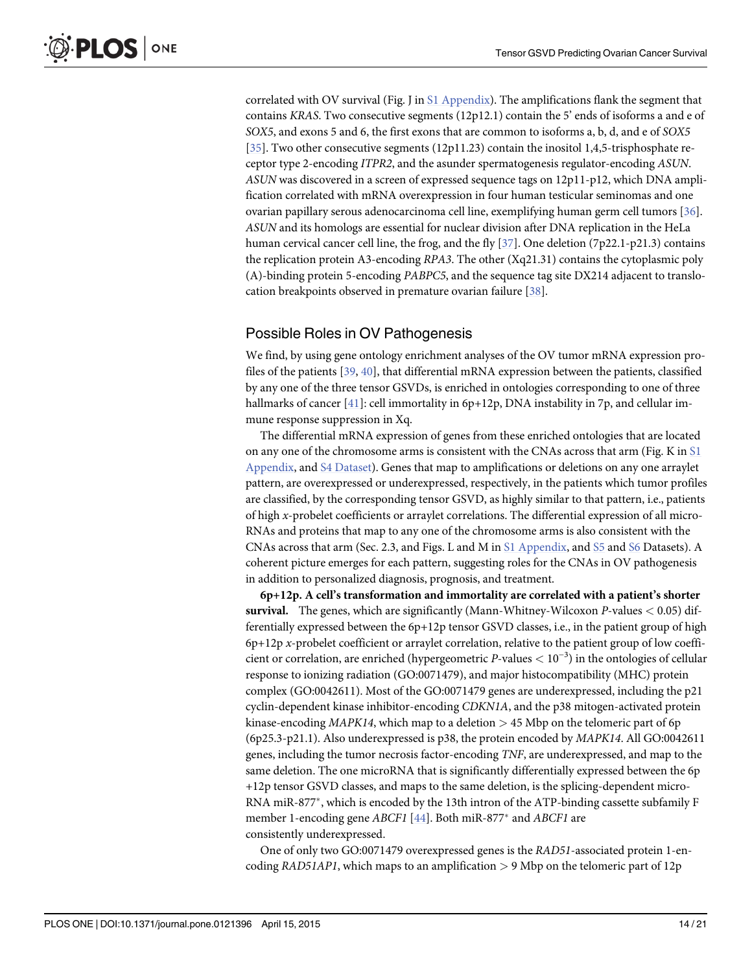<span id="page-13-0"></span>correlated with OV survival (Fig. J in  $S1$  Appendix). The amplifications flank the segment that contains KRAS. Two consecutive segments (12p12.1) contain the 5' ends of isoforms a and e of SOX5, and exons 5 and 6, the first exons that are common to isoforms a, b, d, and e of SOX5 [\[35](#page-19-0)]. Two other consecutive segments (12p11.23) contain the inositol 1,4,5-trisphosphate receptor type 2-encoding ITPR2, and the asunder spermatogenesis regulator-encoding ASUN. ASUN was discovered in a screen of expressed sequence tags on 12p11-p12, which DNA amplification correlated with mRNA overexpression in four human testicular seminomas and one ovarian papillary serous adenocarcinoma cell line, exemplifying human germ cell tumors [[36\]](#page-19-0). ASUN and its homologs are essential for nuclear division after DNA replication in the HeLa human cervical cancer cell line, the frog, and the fly [[37](#page-19-0)]. One deletion (7p22.1-p21.3) contains the replication protein A3-encoding RPA3. The other (Xq21.31) contains the cytoplasmic poly (A)-binding protein 5-encoding PABPC5, and the sequence tag site DX214 adjacent to translocation breakpoints observed in premature ovarian failure [\[38\]](#page-19-0).

## Possible Roles in OV Pathogenesis

We find, by using gene ontology enrichment analyses of the OV tumor mRNA expression profiles of the patients [[39,](#page-19-0) [40\]](#page-19-0), that differential mRNA expression between the patients, classified by any one of the three tensor GSVDs, is enriched in ontologies corresponding to one of three hallmarks of cancer  $[41]$ : cell immortality in 6p+12p, DNA instability in 7p, and cellular immune response suppression in Xq.

The differential mRNA expression of genes from these enriched ontologies that are located on any one of the chromosome arms is consistent with the CNAs across that arm (Fig. K in [S1](#page-16-0) [Appendix](#page-16-0), and [S4 Dataset\)](#page-16-0). Genes that map to amplifications or deletions on any one arraylet pattern, are overexpressed or underexpressed, respectively, in the patients which tumor profiles are classified, by the corresponding tensor GSVD, as highly similar to that pattern, i.e., patients of high x-probelet coefficients or arraylet correlations. The differential expression of all micro-RNAs and proteins that map to any one of the chromosome arms is also consistent with the CNAs across that arm (Sec. 2.3, and Figs. L and M in [S1 Appendix,](#page-16-0) and [S5](#page-17-0) and [S6](#page-17-0) Datasets). A coherent picture emerges for each pattern, suggesting roles for the CNAs in OV pathogenesis in addition to personalized diagnosis, prognosis, and treatment.

6p+12p. A cell's transformation and immortality are correlated with a patient's shorter survival. The genes, which are significantly (Mann-Whitney-Wilcoxon P-values  $< 0.05$ ) differentially expressed between the 6p+12p tensor GSVD classes, i.e., in the patient group of high  $6p+12p$  x-probelet coefficient or arraylet correlation, relative to the patient group of low coefficient or correlation, are enriched (hypergeometric P-values < 10−<sup>3</sup> ) in the ontologies of cellular response to ionizing radiation (GO:0071479), and major histocompatibility (MHC) protein complex (GO:0042611). Most of the GO:0071479 genes are underexpressed, including the p21 cyclin-dependent kinase inhibitor-encoding CDKN1A, and the p38 mitogen-activated protein kinase-encoding  $MAPK14$ , which map to a deletion  $> 45$  Mbp on the telomeric part of 6p (6p25.3-p21.1). Also underexpressed is p38, the protein encoded by MAPK14. All GO:0042611 genes, including the tumor necrosis factor-encoding TNF, are underexpressed, and map to the same deletion. The one microRNA that is significantly differentially expressed between the 6p +12p tensor GSVD classes, and maps to the same deletion, is the splicing-dependent micro-RNA miR-877<sup>\*</sup>, which is encoded by the 13th intron of the ATP-binding cassette subfamily F member 1-encoding gene *ABCF1* [\[44\]](#page-19-0). Both miR-877<sup>\*</sup> and *ABCF1* are consistently underexpressed.

One of only two GO:0071479 overexpressed genes is the RAD51-associated protein 1-encoding RAD51AP1, which maps to an amplification  $> 9$  Mbp on the telomeric part of 12p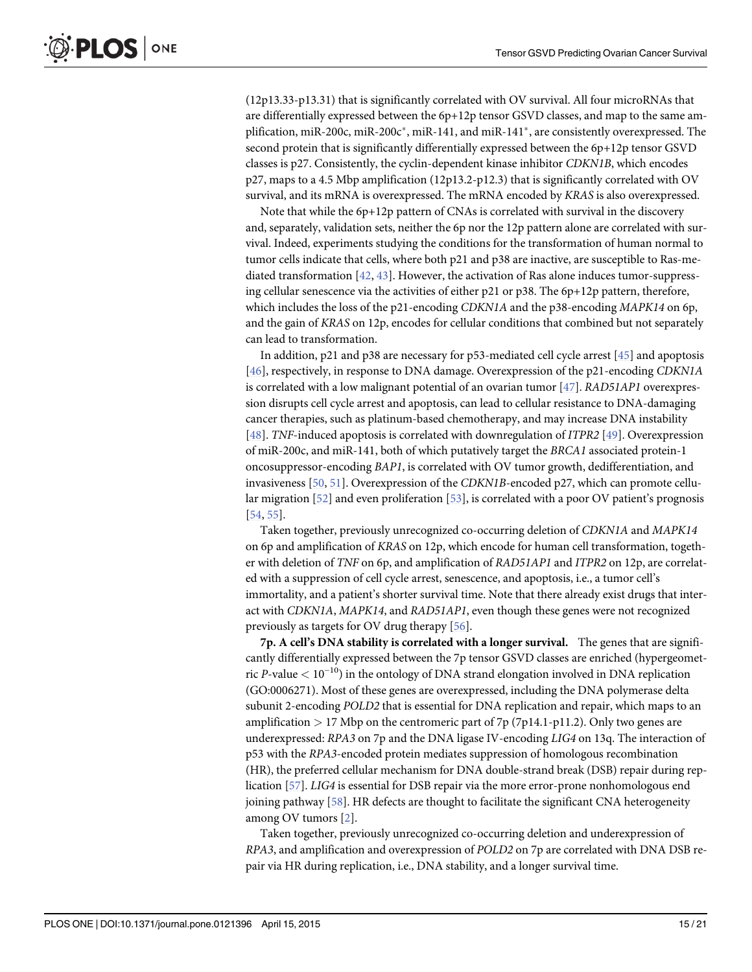<span id="page-14-0"></span>(12p13.33-p13.31) that is significantly correlated with OV survival. All four microRNAs that are differentially expressed between the 6p+12p tensor GSVD classes, and map to the same amplification, miR-200c, miR-200c, miR-141, and miR-141, are consistently overexpressed. The second protein that is significantly differentially expressed between the 6p+12p tensor GSVD classes is p27. Consistently, the cyclin-dependent kinase inhibitor CDKN1B, which encodes p27, maps to a 4.5 Mbp amplification (12p13.2-p12.3) that is significantly correlated with OV survival, and its mRNA is overexpressed. The mRNA encoded by KRAS is also overexpressed.

Note that while the 6p+12p pattern of CNAs is correlated with survival in the discovery and, separately, validation sets, neither the 6p nor the 12p pattern alone are correlated with survival. Indeed, experiments studying the conditions for the transformation of human normal to tumor cells indicate that cells, where both p21 and p38 are inactive, are susceptible to Ras-mediated transformation  $[42, 43]$  $[42, 43]$  $[42, 43]$  $[42, 43]$  $[42, 43]$ . However, the activation of Ras alone induces tumor-suppressing cellular senescence via the activities of either  $p21$  or  $p38$ . The  $6p+12p$  pattern, therefore, which includes the loss of the p21-encoding CDKN1A and the p38-encoding MAPK14 on 6p, and the gain of KRAS on 12p, encodes for cellular conditions that combined but not separately can lead to transformation.

In addition, p21 and p38 are necessary for p53-mediated cell cycle arrest [\[45\]](#page-19-0) and apoptosis [\[46](#page-19-0)], respectively, in response to DNA damage. Overexpression of the p21-encoding CDKN1A is correlated with a low malignant potential of an ovarian tumor [[47](#page-19-0)]. RAD51AP1 overexpression disrupts cell cycle arrest and apoptosis, can lead to cellular resistance to DNA-damaging cancer therapies, such as platinum-based chemotherapy, and may increase DNA instability [\[48](#page-19-0)]. TNF-induced apoptosis is correlated with downregulation of ITPR2 [[49](#page-19-0)]. Overexpression of miR-200c, and miR-141, both of which putatively target the BRCA1 associated protein-1 oncosuppressor-encoding BAP1, is correlated with OV tumor growth, dedifferentiation, and invasiveness [[50](#page-19-0), [51](#page-19-0)]. Overexpression of the CDKN1B-encoded p27, which can promote cellular migration [[52](#page-19-0)] and even proliferation [[53](#page-20-0)], is correlated with a poor OV patient's prognosis [\[54](#page-20-0), [55\]](#page-20-0).

Taken together, previously unrecognized co-occurring deletion of CDKN1A and MAPK14 on 6p and amplification of KRAS on 12p, which encode for human cell transformation, together with deletion of TNF on 6p, and amplification of RAD51AP1 and ITPR2 on 12p, are correlated with a suppression of cell cycle arrest, senescence, and apoptosis, i.e., a tumor cell's immortality, and a patient's shorter survival time. Note that there already exist drugs that interact with CDKN1A, MAPK14, and RAD51AP1, even though these genes were not recognized previously as targets for OV drug therapy [[56](#page-20-0)].

7p. A cell's DNA stability is correlated with a longer survival. The genes that are significantly differentially expressed between the 7p tensor GSVD classes are enriched (hypergeometric P-value  $< 10^{-10}$ ) in the ontology of DNA strand elongation involved in DNA replication (GO:0006271). Most of these genes are overexpressed, including the DNA polymerase delta subunit 2-encoding POLD2 that is essential for DNA replication and repair, which maps to an amplification  $> 17$  Mbp on the centromeric part of 7p (7p14.1-p11.2). Only two genes are underexpressed: RPA3 on 7p and the DNA ligase IV-encoding LIG4 on 13q. The interaction of p53 with the RPA3-encoded protein mediates suppression of homologous recombination (HR), the preferred cellular mechanism for DNA double-strand break (DSB) repair during replication [\[57\]](#page-20-0). LIG4 is essential for DSB repair via the more error-prone nonhomologous end joining pathway [[58](#page-20-0)]. HR defects are thought to facilitate the significant CNA heterogeneity among OV tumors [[2](#page-17-0)].

Taken together, previously unrecognized co-occurring deletion and underexpression of RPA3, and amplification and overexpression of POLD2 on 7p are correlated with DNA DSB repair via HR during replication, i.e., DNA stability, and a longer survival time.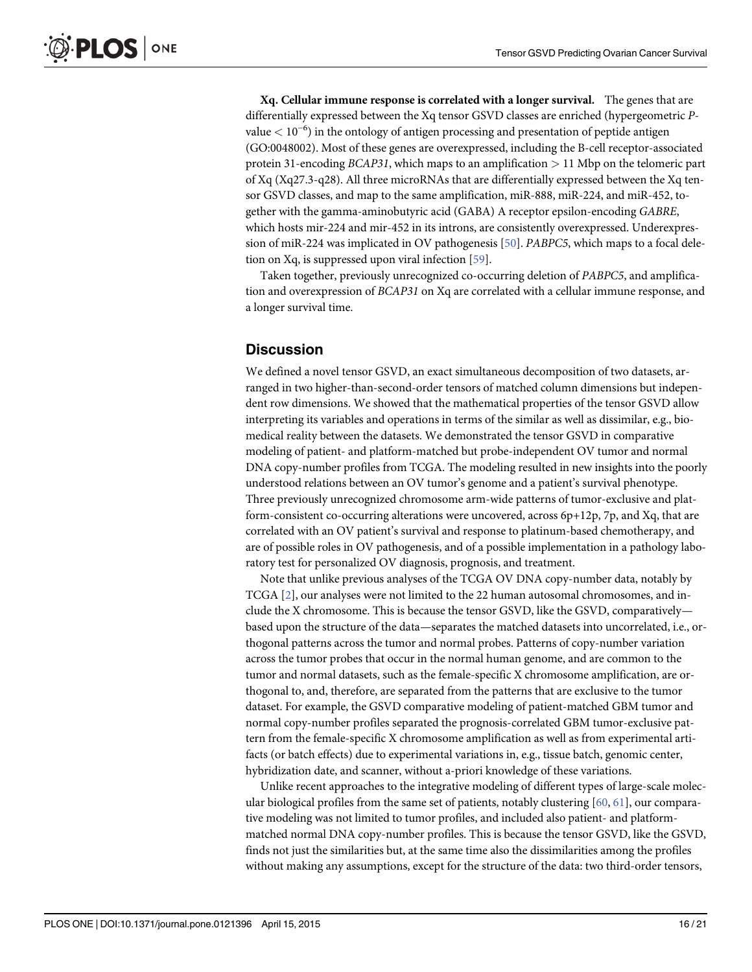<span id="page-15-0"></span>Xq. Cellular immune response is correlated with a longer survival. The genes that are differentially expressed between the Xq tensor GSVD classes are enriched (hypergeometric Pvalue  $< 10^{-6}$ ) in the ontology of antigen processing and presentation of peptide antigen (GO:0048002). Most of these genes are overexpressed, including the B-cell receptor-associated protein 31-encoding BCAP31, which maps to an amplification  $> 11$  Mbp on the telomeric part of Xq (Xq27.3-q28). All three microRNAs that are differentially expressed between the Xq tensor GSVD classes, and map to the same amplification, miR-888, miR-224, and miR-452, together with the gamma-aminobutyric acid (GABA) A receptor epsilon-encoding GABRE, which hosts mir-224 and mir-452 in its introns, are consistently overexpressed. Underexpression of miR-224 was implicated in OV pathogenesis [[50](#page-19-0)]. PABPC5, which maps to a focal deletion on Xq, is suppressed upon viral infection [\[59\]](#page-20-0).

Taken together, previously unrecognized co-occurring deletion of PABPC5, and amplification and overexpression of BCAP31 on Xq are correlated with a cellular immune response, and a longer survival time.

## **Discussion**

We defined a novel tensor GSVD, an exact simultaneous decomposition of two datasets, arranged in two higher-than-second-order tensors of matched column dimensions but independent row dimensions. We showed that the mathematical properties of the tensor GSVD allow interpreting its variables and operations in terms of the similar as well as dissimilar, e.g., biomedical reality between the datasets. We demonstrated the tensor GSVD in comparative modeling of patient- and platform-matched but probe-independent OV tumor and normal DNA copy-number profiles from TCGA. The modeling resulted in new insights into the poorly understood relations between an OV tumor's genome and a patient's survival phenotype. Three previously unrecognized chromosome arm-wide patterns of tumor-exclusive and platform-consistent co-occurring alterations were uncovered, across 6p+12p, 7p, and Xq, that are correlated with an OV patient's survival and response to platinum-based chemotherapy, and are of possible roles in OV pathogenesis, and of a possible implementation in a pathology laboratory test for personalized OV diagnosis, prognosis, and treatment.

Note that unlike previous analyses of the TCGA OV DNA copy-number data, notably by TCGA [\[2](#page-17-0)], our analyses were not limited to the 22 human autosomal chromosomes, and include the X chromosome. This is because the tensor GSVD, like the GSVD, comparatively based upon the structure of the data—separates the matched datasets into uncorrelated, i.e., orthogonal patterns across the tumor and normal probes. Patterns of copy-number variation across the tumor probes that occur in the normal human genome, and are common to the tumor and normal datasets, such as the female-specific X chromosome amplification, are orthogonal to, and, therefore, are separated from the patterns that are exclusive to the tumor dataset. For example, the GSVD comparative modeling of patient-matched GBM tumor and normal copy-number profiles separated the prognosis-correlated GBM tumor-exclusive pattern from the female-specific X chromosome amplification as well as from experimental artifacts (or batch effects) due to experimental variations in, e.g., tissue batch, genomic center, hybridization date, and scanner, without a-priori knowledge of these variations.

Unlike recent approaches to the integrative modeling of different types of large-scale molecular biological profiles from the same set of patients, notably clustering  $[60, 61]$  $[60, 61]$  $[60, 61]$ , our comparative modeling was not limited to tumor profiles, and included also patient- and platformmatched normal DNA copy-number profiles. This is because the tensor GSVD, like the GSVD, finds not just the similarities but, at the same time also the dissimilarities among the profiles without making any assumptions, except for the structure of the data: two third-order tensors,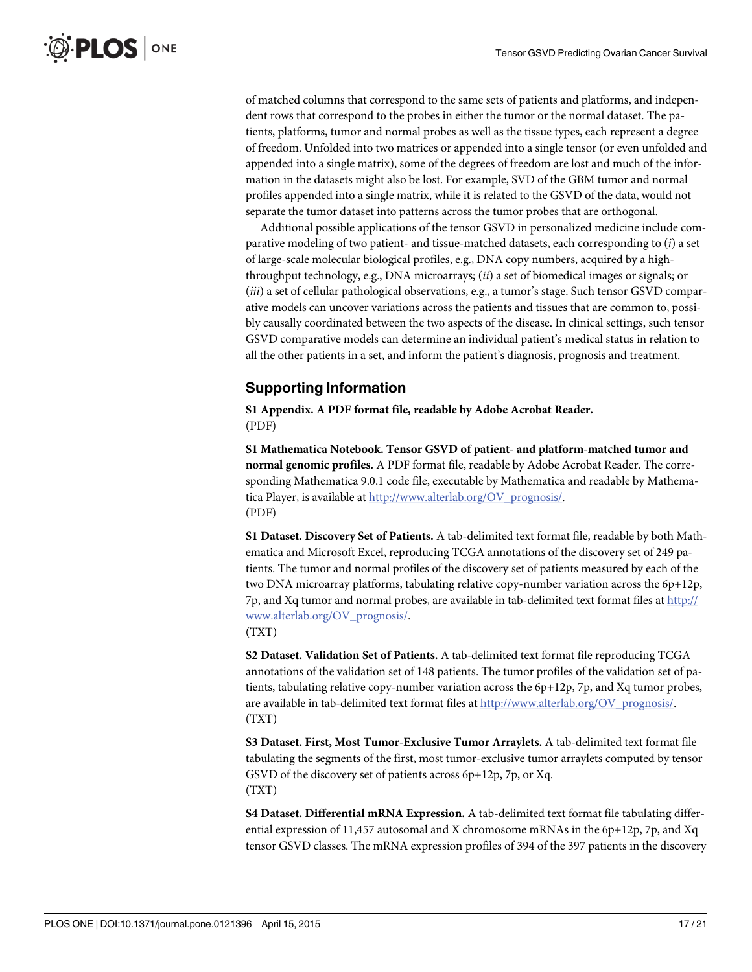<span id="page-16-0"></span>of matched columns that correspond to the same sets of patients and platforms, and independent rows that correspond to the probes in either the tumor or the normal dataset. The patients, platforms, tumor and normal probes as well as the tissue types, each represent a degree of freedom. Unfolded into two matrices or appended into a single tensor (or even unfolded and appended into a single matrix), some of the degrees of freedom are lost and much of the information in the datasets might also be lost. For example, SVD of the GBM tumor and normal profiles appended into a single matrix, while it is related to the GSVD of the data, would not separate the tumor dataset into patterns across the tumor probes that are orthogonal.

Additional possible applications of the tensor GSVD in personalized medicine include comparative modeling of two patient- and tissue-matched datasets, each corresponding to (i) a set of large-scale molecular biological profiles, e.g., DNA copy numbers, acquired by a highthroughput technology, e.g., DNA microarrays; (ii) a set of biomedical images or signals; or (*iii*) a set of cellular pathological observations, e.g., a tumor's stage. Such tensor GSVD comparative models can uncover variations across the patients and tissues that are common to, possibly causally coordinated between the two aspects of the disease. In clinical settings, such tensor GSVD comparative models can determine an individual patient's medical status in relation to all the other patients in a set, and inform the patient's diagnosis, prognosis and treatment.

## Supporting Information

[S1 Appendix.](http://www.plosone.org/article/fetchSingleRepresentation.action?uri=info:doi/10.1371/journal.pone.0121396.s001) A PDF format file, readable by Adobe Acrobat Reader. (PDF)

[S1 Mathematica Notebook.](http://www.plosone.org/article/fetchSingleRepresentation.action?uri=info:doi/10.1371/journal.pone.0121396.s002) Tensor GSVD of patient- and platform-matched tumor and normal genomic profiles. A PDF format file, readable by Adobe Acrobat Reader. The corresponding Mathematica 9.0.1 code file, executable by Mathematica and readable by Mathematica Player, is available at [http://www.alterlab.org/OV\\_prognosis/.](http://www.alterlab.org/OV_prognosis/) (PDF)

[S1 Dataset.](http://www.plosone.org/article/fetchSingleRepresentation.action?uri=info:doi/10.1371/journal.pone.0121396.s003) Discovery Set of Patients. A tab-delimited text format file, readable by both Mathematica and Microsoft Excel, reproducing TCGA annotations of the discovery set of 249 patients. The tumor and normal profiles of the discovery set of patients measured by each of the two DNA microarray platforms, tabulating relative copy-number variation across the 6p+12p, 7p, and Xq tumor and normal probes, are available in tab-delimited text format files at [http://](http://www.alterlab.org/OV_prognosis/) [www.alterlab.org/OV\\_prognosis/](http://www.alterlab.org/OV_prognosis/).

(TXT)

[S2 Dataset.](http://www.plosone.org/article/fetchSingleRepresentation.action?uri=info:doi/10.1371/journal.pone.0121396.s004) Validation Set of Patients. A tab-delimited text format file reproducing TCGA annotations of the validation set of 148 patients. The tumor profiles of the validation set of patients, tabulating relative copy-number variation across the 6p+12p, 7p, and Xq tumor probes, are available in tab-delimited text format files at [http://www.alterlab.org/OV\\_prognosis/.](http://www.alterlab.org/OV_prognosis/) (TXT)

[S3 Dataset.](http://www.plosone.org/article/fetchSingleRepresentation.action?uri=info:doi/10.1371/journal.pone.0121396.s005) First, Most Tumor-Exclusive Tumor Arraylets. A tab-delimited text format file tabulating the segments of the first, most tumor-exclusive tumor arraylets computed by tensor GSVD of the discovery set of patients across 6p+12p, 7p, or Xq. (TXT)

[S4 Dataset.](http://www.plosone.org/article/fetchSingleRepresentation.action?uri=info:doi/10.1371/journal.pone.0121396.s006) Differential mRNA Expression. A tab-delimited text format file tabulating differential expression of 11,457 autosomal and X chromosome mRNAs in the 6p+12p, 7p, and Xq tensor GSVD classes. The mRNA expression profiles of 394 of the 397 patients in the discovery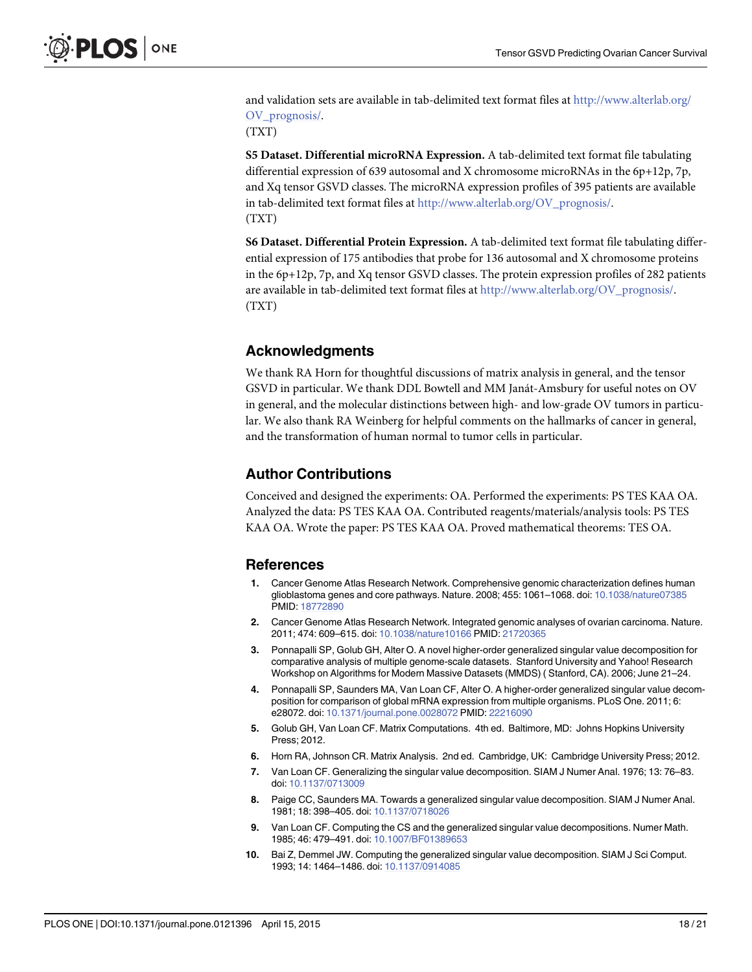<span id="page-17-0"></span>and validation sets are available in tab-delimited text format files at [http://www.alterlab.org/](http://www.alterlab.org/OV_prognosis/) [OV\\_prognosis/](http://www.alterlab.org/OV_prognosis/).

(TXT)

[S5 Dataset.](http://www.plosone.org/article/fetchSingleRepresentation.action?uri=info:doi/10.1371/journal.pone.0121396.s007) Differential microRNA Expression. A tab-delimited text format file tabulating differential expression of 639 autosomal and X chromosome microRNAs in the  $6p+12p$ , 7p, and Xq tensor GSVD classes. The microRNA expression profiles of 395 patients are available in tab-delimited text format files at [http://www.alterlab.org/OV\\_prognosis/.](http://www.alterlab.org/OV_prognosis/) (TXT)

[S6 Dataset.](http://www.plosone.org/article/fetchSingleRepresentation.action?uri=info:doi/10.1371/journal.pone.0121396.s008) Differential Protein Expression. A tab-delimited text format file tabulating differential expression of 175 antibodies that probe for 136 autosomal and X chromosome proteins in the 6p+12p, 7p, and Xq tensor GSVD classes. The protein expression profiles of 282 patients are available in tab-delimited text format files at [http://www.alterlab.org/OV\\_prognosis/.](http://www.alterlab.org/OV_prognosis/) (TXT)

## Acknowledgments

We thank RA Horn for thoughtful discussions of matrix analysis in general, and the tensor GSVD in particular. We thank DDL Bowtell and MM Janát-Amsbury for useful notes on OV in general, and the molecular distinctions between high- and low-grade OV tumors in particular. We also thank RA Weinberg for helpful comments on the hallmarks of cancer in general, and the transformation of human normal to tumor cells in particular.

## Author Contributions

Conceived and designed the experiments: OA. Performed the experiments: PS TES KAA OA. Analyzed the data: PS TES KAA OA. Contributed reagents/materials/analysis tools: PS TES KAA OA. Wrote the paper: PS TES KAA OA. Proved mathematical theorems: TES OA.

### References

- [1.](#page-1-0) Cancer Genome Atlas Research Network. Comprehensive genomic characterization defines human glioblastoma genes and core pathways. Nature. 2008; 455: 1061–1068. doi: [10.1038/nature07385](http://dx.doi.org/10.1038/nature07385) PMID: [18772890](http://www.ncbi.nlm.nih.gov/pubmed/18772890)
- [2.](#page-1-0) Cancer Genome Atlas Research Network. Integrated genomic analyses of ovarian carcinoma. Nature. 2011; 474: 609–615. doi: [10.1038/nature10166](http://dx.doi.org/10.1038/nature10166) PMID: [21720365](http://www.ncbi.nlm.nih.gov/pubmed/21720365)
- [3.](#page-1-0) Ponnapalli SP, Golub GH, Alter O. A novel higher-order generalized singular value decomposition for comparative analysis of multiple genome-scale datasets. Stanford University and Yahoo! Research Workshop on Algorithms for Modern Massive Datasets (MMDS) ( Stanford, CA). 2006; June 21–24.
- [4.](#page-1-0) Ponnapalli SP, Saunders MA, Van Loan CF, Alter O. A higher-order generalized singular value decomposition for comparison of global mRNA expression from multiple organisms. PLoS One. 2011; 6: e28072. doi: [10.1371/journal.pone.0028072](http://dx.doi.org/10.1371/journal.pone.0028072) PMID: [22216090](http://www.ncbi.nlm.nih.gov/pubmed/22216090)
- [5.](#page-1-0) Golub GH, Van Loan CF. Matrix Computations. 4th ed. Baltimore, MD: Johns Hopkins University Press; 2012.
- 6. Horn RA, Johnson CR. Matrix Analysis. 2nd ed. Cambridge, UK: Cambridge University Press; 2012.
- 7. Van Loan CF. Generalizing the singular value decomposition. SIAM J Numer Anal. 1976; 13: 76–83. doi: [10.1137/0713009](http://dx.doi.org/10.1137/0713009)
- 8. Paige CC, Saunders MA. Towards a generalized singular value decomposition. SIAM J Numer Anal. 1981; 18: 398–405. doi: [10.1137/0718026](http://dx.doi.org/10.1137/0718026)
- [9.](#page-6-0) Van Loan CF. Computing the CS and the generalized singular value decompositions. Numer Math. 1985; 46: 479–491. doi: [10.1007/BF01389653](http://dx.doi.org/10.1007/BF01389653)
- 10. Bai Z, Demmel JW. Computing the generalized singular value decomposition. SIAM J Sci Comput. 1993; 14: 1464–1486. doi: [10.1137/0914085](http://dx.doi.org/10.1137/0914085)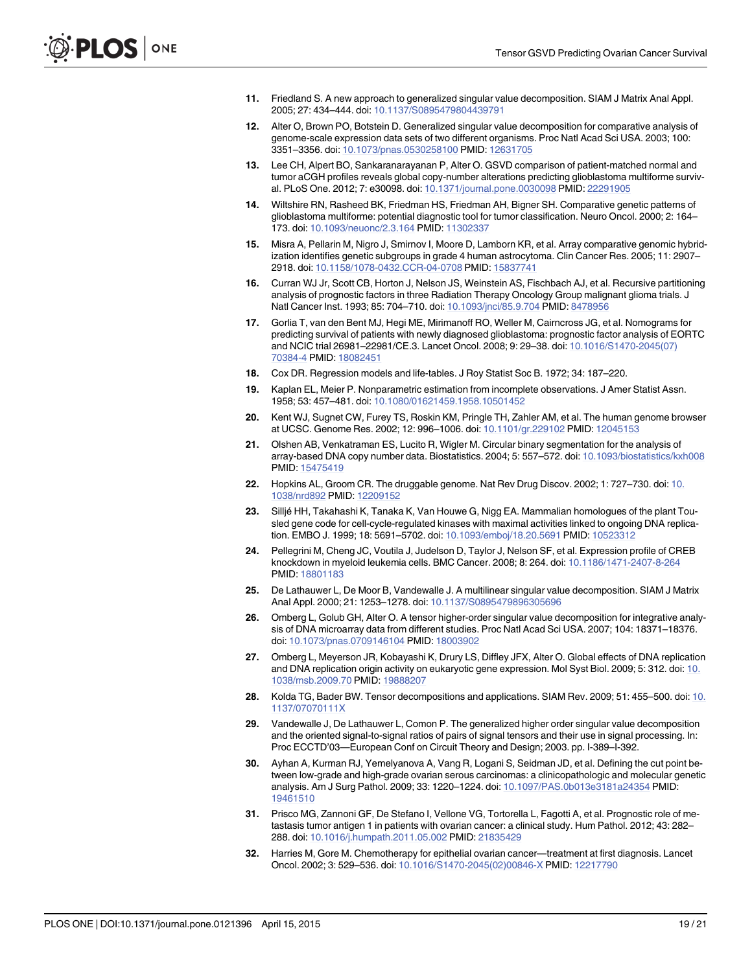- <span id="page-18-0"></span>11. Friedland S. A new approach to generalized singular value decomposition. SIAM J Matrix Anal Appl. 2005; 27: 434–444. doi: [10.1137/S0895479804439791](http://dx.doi.org/10.1137/S0895479804439791)
- [12.](#page-1-0) Alter O, Brown PO, Botstein D. Generalized singular value decomposition for comparative analysis of genome-scale expression data sets of two different organisms. Proc Natl Acad Sci USA. 2003; 100: 3351–3356. doi: [10.1073/pnas.0530258100](http://dx.doi.org/10.1073/pnas.0530258100) PMID: [12631705](http://www.ncbi.nlm.nih.gov/pubmed/12631705)
- [13.](#page-1-0) Lee CH, Alpert BO, Sankaranarayanan P, Alter O. GSVD comparison of patient-matched normal and tumor aCGH profiles reveals global copy-number alterations predicting glioblastoma multiforme survival. PLoS One. 2012; 7: e30098. doi: [10.1371/journal.pone.0030098](http://dx.doi.org/10.1371/journal.pone.0030098) PMID: [22291905](http://www.ncbi.nlm.nih.gov/pubmed/22291905)
- [14.](#page-1-0) Wiltshire RN, Rasheed BK, Friedman HS, Friedman AH, Bigner SH. Comparative genetic patterns of glioblastoma multiforme: potential diagnostic tool for tumor classification. Neuro Oncol. 2000; 2: 164– 173. doi: [10.1093/neuonc/2.3.164](http://dx.doi.org/10.1093/neuonc/2.3.164) PMID: [11302337](http://www.ncbi.nlm.nih.gov/pubmed/11302337)
- [15.](#page-1-0) Misra A, Pellarin M, Nigro J, Smirnov I, Moore D, Lamborn KR, et al. Array comparative genomic hybridization identifies genetic subgroups in grade 4 human astrocytoma. Clin Cancer Res. 2005; 11: 2907– 2918. doi: [10.1158/1078-0432.CCR-04-0708](http://dx.doi.org/10.1158/1078-0432.CCR-04-0708) PMID: [15837741](http://www.ncbi.nlm.nih.gov/pubmed/15837741)
- [16.](#page-1-0) Curran WJ Jr, Scott CB, Horton J, Nelson JS, Weinstein AS, Fischbach AJ, et al. Recursive partitioning analysis of prognostic factors in three Radiation Therapy Oncology Group malignant glioma trials. J Natl Cancer Inst. 1993; 85: 704–710. doi: [10.1093/jnci/85.9.704](http://dx.doi.org/10.1093/jnci/85.9.704) PMID: [8478956](http://www.ncbi.nlm.nih.gov/pubmed/8478956)
- [17.](#page-1-0) Gorlia T, van den Bent MJ, Hegi ME, Mirimanoff RO, Weller M, Cairncross JG, et al. Nomograms for predicting survival of patients with newly diagnosed glioblastoma: prognostic factor analysis of EORTC and NCIC trial 26981–22981/CE.3. Lancet Oncol. 2008; 9: 29–38. doi: [10.1016/S1470-2045\(07\)](http://dx.doi.org/10.1016/S1470-2045(07)70384-4) [70384-4](http://dx.doi.org/10.1016/S1470-2045(07)70384-4) PMID: [18082451](http://www.ncbi.nlm.nih.gov/pubmed/18082451)
- [18.](#page-1-0) Cox DR. Regression models and life-tables. J Roy Statist Soc B. 1972; 34: 187–220.
- [19.](#page-1-0) Kaplan EL, Meier P. Nonparametric estimation from incomplete observations. J Amer Statist Assn. 1958; 53: 457–481. doi: [10.1080/01621459.1958.10501452](http://dx.doi.org/10.1080/01621459.1958.10501452)
- [20.](#page-1-0) Kent WJ, Sugnet CW, Furey TS, Roskin KM, Pringle TH, Zahler AM, et al. The human genome browser at UCSC. Genome Res. 2002; 12: 996–1006. doi: [10.1101/gr.229102](http://dx.doi.org/10.1101/gr.229102) PMID: [12045153](http://www.ncbi.nlm.nih.gov/pubmed/12045153)
- [21.](#page-1-0) Olshen AB, Venkatraman ES, Lucito R, Wigler M. Circular binary segmentation for the analysis of array-based DNA copy number data. Biostatistics. 2004; 5: 557–572. doi: [10.1093/biostatistics/kxh008](http://dx.doi.org/10.1093/biostatistics/kxh008) PMID: [15475419](http://www.ncbi.nlm.nih.gov/pubmed/15475419)
- [22.](#page-1-0) Hopkins AL, Groom CR. The druggable genome. Nat Rev Drug Discov. 2002; 1: 727–730. doi: [10.](http://dx.doi.org/10.1038/nrd892) [1038/nrd892](http://dx.doi.org/10.1038/nrd892) PMID: [12209152](http://www.ncbi.nlm.nih.gov/pubmed/12209152)
- 23. Silljé HH, Takahashi K, Tanaka K, Van Houwe G, Nigg EA. Mammalian homologues of the plant Tousled gene code for cell-cycle-regulated kinases with maximal activities linked to ongoing DNA replication. EMBO J. 1999; 18: 5691–5702. doi: [10.1093/emboj/18.20.5691](http://dx.doi.org/10.1093/emboj/18.20.5691) PMID: [10523312](http://www.ncbi.nlm.nih.gov/pubmed/10523312)
- [24.](#page-1-0) Pellegrini M, Cheng JC, Voutila J, Judelson D, Taylor J, Nelson SF, et al. Expression profile of CREB knockdown in myeloid leukemia cells. BMC Cancer. 2008; 8: 264. doi: [10.1186/1471-2407-8-264](http://dx.doi.org/10.1186/1471-2407-8-264) PMID: [18801183](http://www.ncbi.nlm.nih.gov/pubmed/18801183)
- [25.](#page-2-0) De Lathauwer L, De Moor B, Vandewalle J. A multilinear singular value decomposition. SIAM J Matrix Anal Appl. 2000; 21: 1253-1278. doi: [10.1137/S0895479896305696](http://dx.doi.org/10.1137/S0895479896305696)
- 26. Omberg L, Golub GH, Alter O. A tensor higher-order singular value decomposition for integrative analysis of DNA microarray data from different studies. Proc Natl Acad Sci USA. 2007; 104: 18371–18376. doi: [10.1073/pnas.0709146104](http://dx.doi.org/10.1073/pnas.0709146104) PMID: [18003902](http://www.ncbi.nlm.nih.gov/pubmed/18003902)
- 27. Omberg L, Meyerson JR, Kobayashi K, Drury LS, Diffley JFX, Alter O. Global effects of DNA replication and DNA replication origin activity on eukaryotic gene expression. Mol Syst Biol. 2009; 5: 312. doi: [10.](http://dx.doi.org/10.1038/msb.2009.70) [1038/msb.2009.70](http://dx.doi.org/10.1038/msb.2009.70) PMID: [19888207](http://www.ncbi.nlm.nih.gov/pubmed/19888207)
- [28.](#page-2-0) Kolda TG, Bader BW. Tensor decompositions and applications. SIAM Rev. 2009; 51: 455–500. doi: [10.](http://dx.doi.org/10.1137/07070111X) [1137/07070111X](http://dx.doi.org/10.1137/07070111X)
- [29.](#page-2-0) Vandewalle J, De Lathauwer L, Comon P. The generalized higher order singular value decomposition and the oriented signal-to-signal ratios of pairs of signal tensors and their use in signal processing. In: Proc ECCTD'03—European Conf on Circuit Theory and Design; 2003. pp. I-389–I-392.
- [30.](#page-2-0) Ayhan A, Kurman RJ, Yemelyanova A, Vang R, Logani S, Seidman JD, et al. Defining the cut point between low-grade and high-grade ovarian serous carcinomas: a clinicopathologic and molecular genetic analysis. Am J Surg Pathol. 2009; 33: 1220–1224. doi: [10.1097/PAS.0b013e3181a24354](http://dx.doi.org/10.1097/PAS.0b013e3181a24354) PMID: [19461510](http://www.ncbi.nlm.nih.gov/pubmed/19461510)
- [31.](#page-2-0) Prisco MG, Zannoni GF, De Stefano I, Vellone VG, Tortorella L, Fagotti A, et al. Prognostic role of metastasis tumor antigen 1 in patients with ovarian cancer: a clinical study. Hum Pathol. 2012; 43: 282– 288. doi: [10.1016/j.humpath.2011.05.002](http://dx.doi.org/10.1016/j.humpath.2011.05.002) PMID: [21835429](http://www.ncbi.nlm.nih.gov/pubmed/21835429)
- [32.](#page-2-0) Harries M, Gore M. Chemotherapy for epithelial ovarian cancer—treatment at first diagnosis. Lancet Oncol. 2002; 3: 529–536. doi: [10.1016/S1470-2045\(02\)00846-X](http://dx.doi.org/10.1016/S1470-2045(02)00846-X) PMID: [12217790](http://www.ncbi.nlm.nih.gov/pubmed/12217790)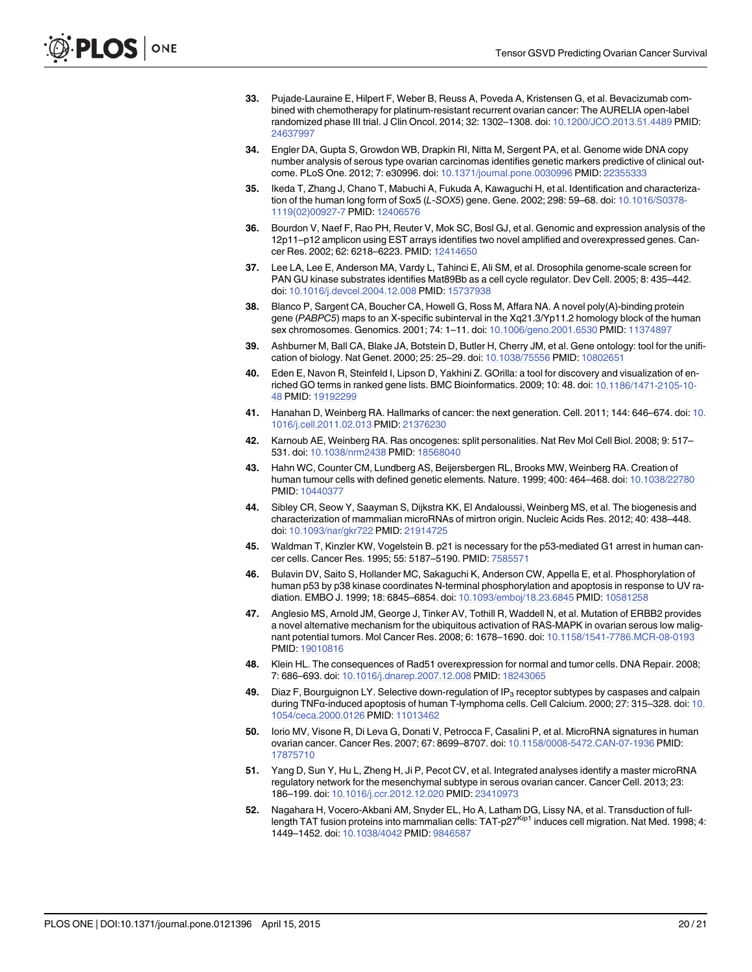- <span id="page-19-0"></span>[33.](#page-2-0) Pujade-Lauraine E, Hilpert F, Weber B, Reuss A, Poveda A, Kristensen G, et al. Bevacizumab combined with chemotherapy for platinum-resistant recurrent ovarian cancer: The AURELIA open-label randomized phase III trial. J Clin Oncol. 2014; 32: 1302–1308. doi: [10.1200/JCO.2013.51.4489](http://dx.doi.org/10.1200/JCO.2013.51.4489) PMID: [24637997](http://www.ncbi.nlm.nih.gov/pubmed/24637997)
- [34.](#page-2-0) Engler DA, Gupta S, Growdon WB, Drapkin RI, Nitta M, Sergent PA, et al. Genome wide DNA copy number analysis of serous type ovarian carcinomas identifies genetic markers predictive of clinical outcome. PLoS One. 2012; 7: e30996. doi: [10.1371/journal.pone.0030996](http://dx.doi.org/10.1371/journal.pone.0030996) PMID: [22355333](http://www.ncbi.nlm.nih.gov/pubmed/22355333)
- [35.](#page-2-0) Ikeda T, Zhang J, Chano T, Mabuchi A, Fukuda A, Kawaguchi H, et al. Identification and characterization of the human long form of Sox5 (L-SOX5) gene. Gene. 2002; 298: 59–68. doi: [10.1016/S0378-](http://dx.doi.org/10.1016/S0378-1119(02)00927-7) [1119\(02\)00927-7](http://dx.doi.org/10.1016/S0378-1119(02)00927-7) PMID: [12406576](http://www.ncbi.nlm.nih.gov/pubmed/12406576)
- [36.](#page-13-0) Bourdon V, Naef F, Rao PH, Reuter V, Mok SC, Bosl GJ, et al. Genomic and expression analysis of the 12p11–p12 amplicon using EST arrays identifies two novel amplified and overexpressed genes. Cancer Res. 2002; 62: 6218–6223. PMID: [12414650](http://www.ncbi.nlm.nih.gov/pubmed/12414650)
- [37.](#page-13-0) Lee LA, Lee E, Anderson MA, Vardy L, Tahinci E, Ali SM, et al. Drosophila genome-scale screen for PAN GU kinase substrates identifies Mat89Bb as a cell cycle regulator. Dev Cell. 2005; 8: 435–442. doi: [10.1016/j.devcel.2004.12.008](http://dx.doi.org/10.1016/j.devcel.2004.12.008) PMID: [15737938](http://www.ncbi.nlm.nih.gov/pubmed/15737938)
- [38.](#page-2-0) Blanco P, Sargent CA, Boucher CA, Howell G, Ross M, Affara NA. A novel poly(A)-binding protein gene (PABPC5) maps to an X-specific subinterval in the Xq21.3/Yp11.2 homology block of the human sex chromosomes. Genomics. 2001; 74: 1–11. doi: [10.1006/geno.2001.6530](http://dx.doi.org/10.1006/geno.2001.6530) PMID: [11374897](http://www.ncbi.nlm.nih.gov/pubmed/11374897)
- [39.](#page-2-0) Ashburner M, Ball CA, Blake JA, Botstein D, Butler H, Cherry JM, et al. Gene ontology: tool for the unification of biology. Nat Genet. 2000; 25: 25–29. doi: [10.1038/75556](http://dx.doi.org/10.1038/75556) PMID: [10802651](http://www.ncbi.nlm.nih.gov/pubmed/10802651)
- [40.](#page-2-0) Eden E, Navon R, Steinfeld I, Lipson D, Yakhini Z. GOrilla: a tool for discovery and visualization of enriched GO terms in ranked gene lists. BMC Bioinformatics. 2009; 10: 48. doi: [10.1186/1471-2105-10-](http://dx.doi.org/10.1186/1471-2105-10-48) [48](http://dx.doi.org/10.1186/1471-2105-10-48) PMID: [19192299](http://www.ncbi.nlm.nih.gov/pubmed/19192299)
- [41.](#page-2-0) Hanahan D, Weinberg RA. Hallmarks of cancer: the next generation. Cell. 2011; 144: 646–674. doi: [10.](http://dx.doi.org/10.1016/j.cell.2011.02.013) [1016/j.cell.2011.02.013](http://dx.doi.org/10.1016/j.cell.2011.02.013) PMID: [21376230](http://www.ncbi.nlm.nih.gov/pubmed/21376230)
- [42.](#page-3-0) Karnoub AE, Weinberg RA. Ras oncogenes: split personalities. Nat Rev Mol Cell Biol. 2008; 9: 517– 531. doi: [10.1038/nrm2438](http://dx.doi.org/10.1038/nrm2438) PMID: [18568040](http://www.ncbi.nlm.nih.gov/pubmed/18568040)
- [43.](#page-3-0) Hahn WC, Counter CM, Lundberg AS, Beijersbergen RL, Brooks MW, Weinberg RA. Creation of human tumour cells with defined genetic elements. Nature. 1999; 400: 464–468. doi: [10.1038/22780](http://dx.doi.org/10.1038/22780) PMID: [10440377](http://www.ncbi.nlm.nih.gov/pubmed/10440377)
- [44.](#page-3-0) Sibley CR, Seow Y, Saayman S, Dijkstra KK, El Andaloussi, Weinberg MS, et al. The biogenesis and characterization of mammalian microRNAs of mirtron origin. Nucleic Acids Res. 2012; 40: 438–448. doi: [10.1093/nar/gkr722](http://dx.doi.org/10.1093/nar/gkr722) PMID: [21914725](http://www.ncbi.nlm.nih.gov/pubmed/21914725)
- [45.](#page-14-0) Waldman T, Kinzler KW, Vogelstein B. p21 is necessary for the p53-mediated G1 arrest in human cancer cells. Cancer Res. 1995; 55: 5187–5190. PMID: [7585571](http://www.ncbi.nlm.nih.gov/pubmed/7585571)
- [46.](#page-14-0) Bulavin DV, Saito S, Hollander MC, Sakaguchi K, Anderson CW, Appella E, et al. Phosphorylation of human p53 by p38 kinase coordinates N-terminal phosphorylation and apoptosis in response to UV radiation. EMBO J. 1999; 18: 6845–6854. doi: [10.1093/emboj/18.23.6845](http://dx.doi.org/10.1093/emboj/18.23.6845) PMID: [10581258](http://www.ncbi.nlm.nih.gov/pubmed/10581258)
- [47.](#page-14-0) Anglesio MS, Arnold JM, George J, Tinker AV, Tothill R, Waddell N, et al. Mutation of ERBB2 provides a novel alternative mechanism for the ubiquitous activation of RAS-MAPK in ovarian serous low malignant potential tumors. Mol Cancer Res. 2008; 6: 1678–1690. doi: [10.1158/1541-7786.MCR-08-0193](http://dx.doi.org/10.1158/1541-7786.MCR-08-0193) PMID: [19010816](http://www.ncbi.nlm.nih.gov/pubmed/19010816)
- [48.](#page-14-0) Klein HL. The consequences of Rad51 overexpression for normal and tumor cells. DNA Repair. 2008; 7: 686–693. doi: [10.1016/j.dnarep.2007.12.008](http://dx.doi.org/10.1016/j.dnarep.2007.12.008) PMID: [18243065](http://www.ncbi.nlm.nih.gov/pubmed/18243065)
- [49.](#page-14-0) Diaz F, Bourguignon LY. Selective down-regulation of IP<sub>3</sub> receptor subtypes by caspases and calpain during TNFα-induced apoptosis of human T-lymphoma cells. Cell Calcium. 2000; 27: 315–328. doi: [10.](http://dx.doi.org/10.1054/ceca.2000.0126) [1054/ceca.2000.0126](http://dx.doi.org/10.1054/ceca.2000.0126) PMID: [11013462](http://www.ncbi.nlm.nih.gov/pubmed/11013462)
- [50.](#page-14-0) Iorio MV, Visone R, Di Leva G, Donati V, Petrocca F, Casalini P, et al. MicroRNA signatures in human ovarian cancer. Cancer Res. 2007; 67: 8699–8707. doi: [10.1158/0008-5472.CAN-07-1936](http://dx.doi.org/10.1158/0008-5472.CAN-07-1936) PMID: [17875710](http://www.ncbi.nlm.nih.gov/pubmed/17875710)
- [51.](#page-14-0) Yang D, Sun Y, Hu L, Zheng H, Ji P, Pecot CV, et al. Integrated analyses identify a master microRNA regulatory network for the mesenchymal subtype in serous ovarian cancer. Cancer Cell. 2013; 23: 186–199. doi: [10.1016/j.ccr.2012.12.020](http://dx.doi.org/10.1016/j.ccr.2012.12.020) PMID: [23410973](http://www.ncbi.nlm.nih.gov/pubmed/23410973)
- [52.](#page-14-0) Nagahara H, Vocero-Akbani AM, Snyder EL, Ho A, Latham DG, Lissy NA, et al. Transduction of fulllength TAT fusion proteins into mammalian cells: TAT-p27Kip1 induces cell migration. Nat Med. 1998; 4: 1449–1452. doi: [10.1038/4042](http://dx.doi.org/10.1038/4042) PMID: [9846587](http://www.ncbi.nlm.nih.gov/pubmed/9846587)